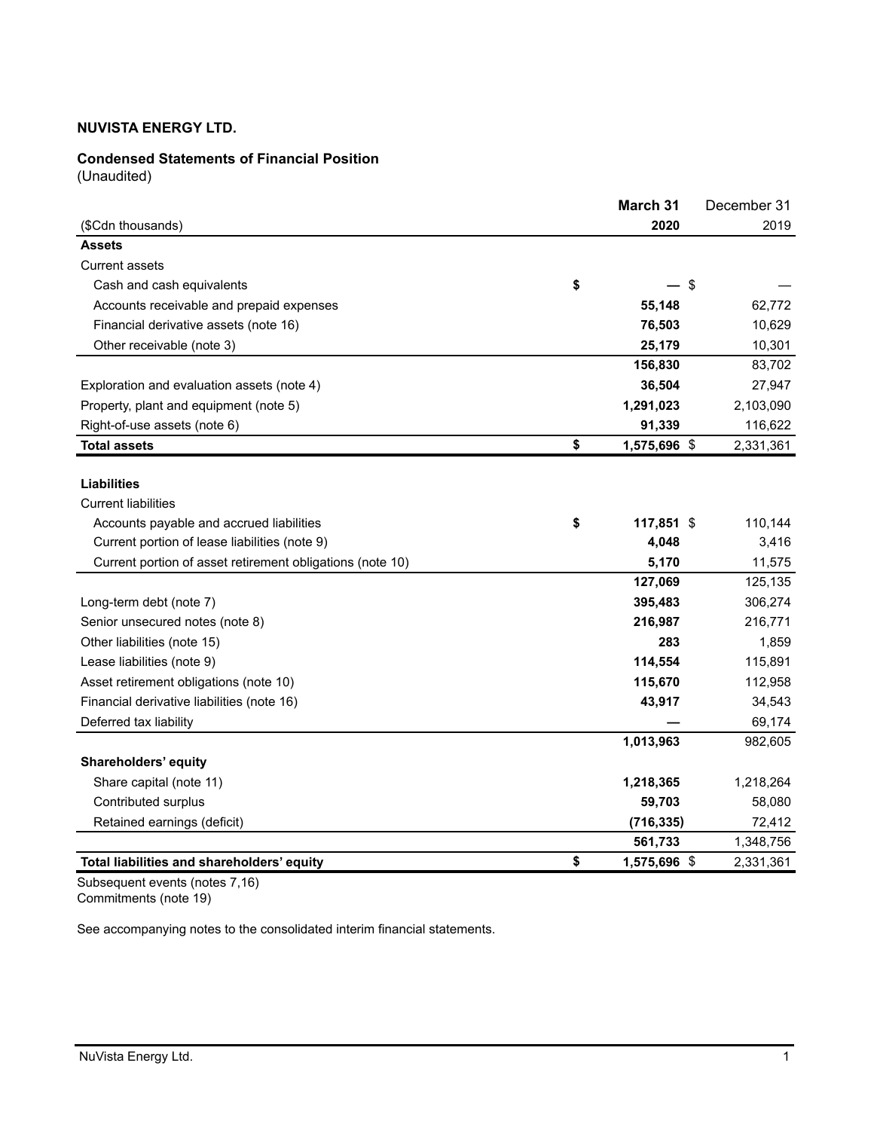# **Condensed Statements of Financial Position**

(Unaudited)

|                                                           | March 31           | December 31 |
|-----------------------------------------------------------|--------------------|-------------|
| (\$Cdn thousands)                                         | 2020               | 2019        |
| <b>Assets</b>                                             |                    |             |
| <b>Current assets</b>                                     |                    |             |
| Cash and cash equivalents                                 | \$                 | \$          |
| Accounts receivable and prepaid expenses                  | 55,148             | 62,772      |
| Financial derivative assets (note 16)                     | 76,503             | 10,629      |
| Other receivable (note 3)                                 | 25,179             | 10,301      |
|                                                           | 156,830            | 83,702      |
| Exploration and evaluation assets (note 4)                | 36,504             | 27,947      |
| Property, plant and equipment (note 5)                    | 1,291,023          | 2,103,090   |
| Right-of-use assets (note 6)                              | 91,339             | 116,622     |
| <b>Total assets</b>                                       | \$<br>1,575,696 \$ | 2,331,361   |
|                                                           |                    |             |
| <b>Liabilities</b>                                        |                    |             |
| <b>Current liabilities</b>                                |                    |             |
| Accounts payable and accrued liabilities                  | \$<br>117,851 \$   | 110,144     |
| Current portion of lease liabilities (note 9)             | 4,048              | 3,416       |
| Current portion of asset retirement obligations (note 10) | 5,170              | 11,575      |
|                                                           | 127,069            | 125,135     |
| Long-term debt (note 7)                                   | 395,483            | 306,274     |
| Senior unsecured notes (note 8)                           | 216,987            | 216,771     |
| Other liabilities (note 15)                               | 283                | 1,859       |
| Lease liabilities (note 9)                                | 114,554            | 115,891     |
| Asset retirement obligations (note 10)                    | 115,670            | 112,958     |
| Financial derivative liabilities (note 16)                | 43,917             | 34,543      |
| Deferred tax liability                                    |                    | 69,174      |
|                                                           | 1,013,963          | 982,605     |
| Shareholders' equity                                      |                    |             |
| Share capital (note 11)                                   | 1,218,365          | 1,218,264   |
| Contributed surplus                                       | 59,703             | 58,080      |
| Retained earnings (deficit)                               | (716, 335)         | 72,412      |
|                                                           | 561,733            | 1,348,756   |
| Total liabilities and shareholders' equity                | \$<br>1,575,696 \$ | 2,331,361   |

Subsequent events (notes 7,16) Commitments (note 19)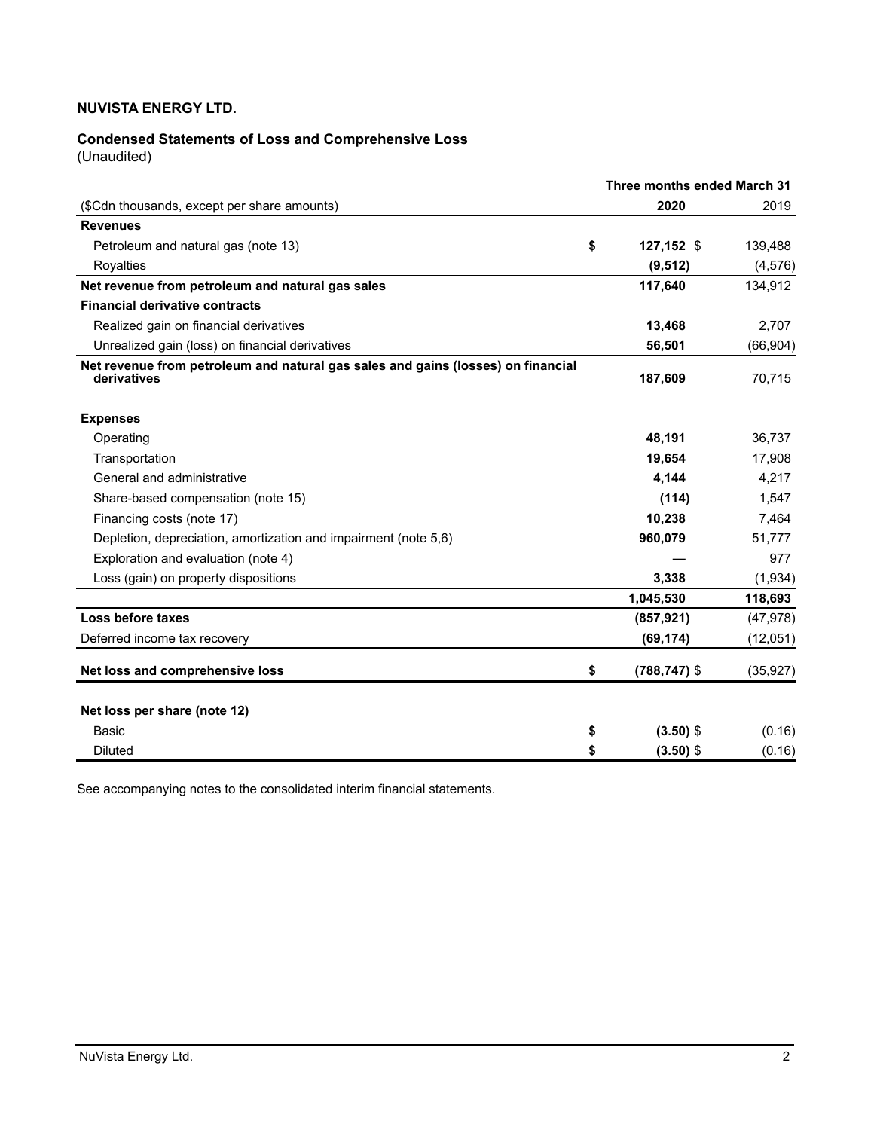# **Condensed Statements of Loss and Comprehensive Loss**

(Unaudited)

|                                                                                                 | Three months ended March 31 |           |  |  |  |  |
|-------------------------------------------------------------------------------------------------|-----------------------------|-----------|--|--|--|--|
| (\$Cdn thousands, except per share amounts)                                                     | 2020                        | 2019      |  |  |  |  |
| <b>Revenues</b>                                                                                 |                             |           |  |  |  |  |
| Petroleum and natural gas (note 13)                                                             | \$<br>127,152 \$            | 139,488   |  |  |  |  |
| Royalties                                                                                       | (9, 512)                    | (4, 576)  |  |  |  |  |
| Net revenue from petroleum and natural gas sales                                                | 117,640                     | 134,912   |  |  |  |  |
| <b>Financial derivative contracts</b>                                                           |                             |           |  |  |  |  |
| Realized gain on financial derivatives                                                          | 13,468                      | 2,707     |  |  |  |  |
| Unrealized gain (loss) on financial derivatives                                                 | 56,501                      | (66, 904) |  |  |  |  |
| Net revenue from petroleum and natural gas sales and gains (losses) on financial<br>derivatives | 187,609                     | 70,715    |  |  |  |  |
| <b>Expenses</b>                                                                                 |                             |           |  |  |  |  |
| Operating                                                                                       | 48,191                      | 36,737    |  |  |  |  |
| Transportation                                                                                  | 19,654                      | 17,908    |  |  |  |  |
| General and administrative                                                                      | 4,144                       | 4,217     |  |  |  |  |
| Share-based compensation (note 15)                                                              | (114)                       | 1,547     |  |  |  |  |
| Financing costs (note 17)                                                                       | 10,238                      | 7,464     |  |  |  |  |
| Depletion, depreciation, amortization and impairment (note 5,6)                                 | 960,079                     | 51,777    |  |  |  |  |
| Exploration and evaluation (note 4)                                                             |                             | 977       |  |  |  |  |
| Loss (gain) on property dispositions                                                            | 3,338                       | (1,934)   |  |  |  |  |
|                                                                                                 | 1,045,530                   | 118,693   |  |  |  |  |
| Loss before taxes                                                                               | (857, 921)                  | (47, 978) |  |  |  |  |
| Deferred income tax recovery                                                                    | (69, 174)                   | (12,051)  |  |  |  |  |
| Net loss and comprehensive loss                                                                 | \$<br>$(788, 747)$ \$       | (35, 927) |  |  |  |  |
| Net loss per share (note 12)                                                                    |                             |           |  |  |  |  |
| <b>Basic</b>                                                                                    | \$<br>$(3.50)$ \$           | (0.16)    |  |  |  |  |
| Diluted                                                                                         | \$<br>$(3.50)$ \$           | (0.16)    |  |  |  |  |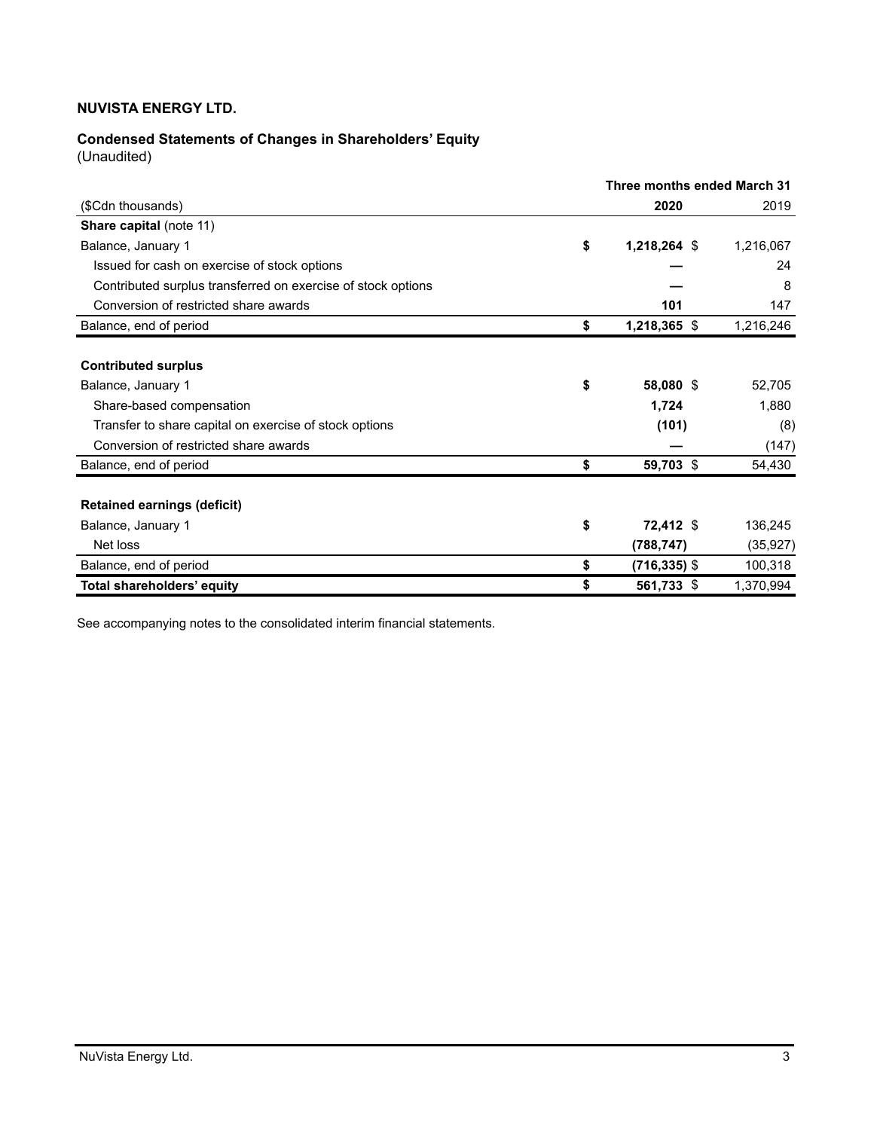# **Condensed Statements of Changes in Shareholders' Equity**

(Unaudited)

|                                                              |                 | Three months ended March 31 |
|--------------------------------------------------------------|-----------------|-----------------------------|
| (\$Cdn thousands)                                            | 2020            | 2019                        |
| Share capital (note 11)                                      |                 |                             |
| \$<br>Balance, January 1                                     | 1,218,264 \$    | 1,216,067                   |
| Issued for cash on exercise of stock options                 |                 | 24                          |
| Contributed surplus transferred on exercise of stock options |                 | 8                           |
| Conversion of restricted share awards                        | 101             | 147                         |
| \$<br>Balance, end of period                                 | 1,218,365 \$    | 1,216,246                   |
|                                                              |                 |                             |
| <b>Contributed surplus</b>                                   |                 |                             |
| \$<br>Balance, January 1                                     | 58,080 \$       | 52,705                      |
| Share-based compensation                                     | 1,724           | 1,880                       |
| Transfer to share capital on exercise of stock options       | (101)           | (8)                         |
| Conversion of restricted share awards                        |                 | (147)                       |
| \$<br>Balance, end of period                                 | 59,703 \$       | 54,430                      |
|                                                              |                 |                             |
| <b>Retained earnings (deficit)</b>                           |                 |                             |
| \$<br>Balance, January 1                                     | 72,412 \$       | 136,245                     |
| Net loss                                                     | (788, 747)      | (35, 927)                   |
| \$<br>Balance, end of period                                 | $(716, 335)$ \$ | 100,318                     |
| Total shareholders' equity<br>\$                             | 561,733 \$      | 1,370,994                   |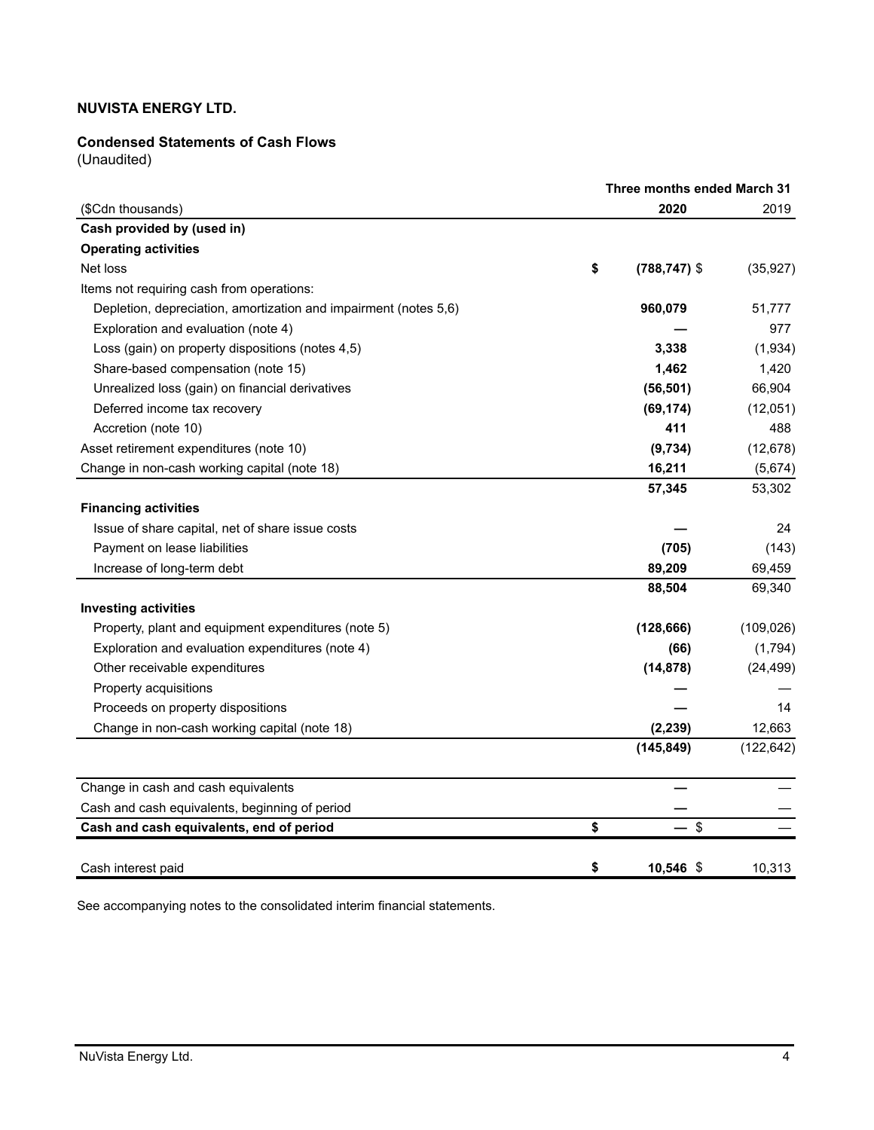### **Condensed Statements of Cash Flows**

(Unaudited)

|                                                                  | Three months ended March 31 |                 |            |  |  |  |  |
|------------------------------------------------------------------|-----------------------------|-----------------|------------|--|--|--|--|
| (\$Cdn thousands)                                                |                             | 2020            | 2019       |  |  |  |  |
| Cash provided by (used in)                                       |                             |                 |            |  |  |  |  |
| <b>Operating activities</b>                                      |                             |                 |            |  |  |  |  |
| Net loss                                                         | \$                          | $(788, 747)$ \$ | (35, 927)  |  |  |  |  |
| Items not requiring cash from operations:                        |                             |                 |            |  |  |  |  |
| Depletion, depreciation, amortization and impairment (notes 5,6) |                             | 960,079         | 51,777     |  |  |  |  |
| Exploration and evaluation (note 4)                              |                             |                 | 977        |  |  |  |  |
| Loss (gain) on property dispositions (notes 4,5)                 |                             | 3,338           | (1,934)    |  |  |  |  |
| Share-based compensation (note 15)                               |                             | 1,462           | 1,420      |  |  |  |  |
| Unrealized loss (gain) on financial derivatives                  |                             | (56, 501)       | 66,904     |  |  |  |  |
| Deferred income tax recovery                                     |                             | (69, 174)       | (12,051)   |  |  |  |  |
| Accretion (note 10)                                              |                             | 411             | 488        |  |  |  |  |
| Asset retirement expenditures (note 10)                          |                             | (9,734)         | (12, 678)  |  |  |  |  |
| Change in non-cash working capital (note 18)                     |                             | 16,211          | (5,674)    |  |  |  |  |
|                                                                  |                             | 57,345          | 53,302     |  |  |  |  |
| <b>Financing activities</b>                                      |                             |                 |            |  |  |  |  |
| Issue of share capital, net of share issue costs                 |                             |                 | 24         |  |  |  |  |
| Payment on lease liabilities                                     |                             | (705)           | (143)      |  |  |  |  |
| Increase of long-term debt                                       |                             | 89,209          | 69,459     |  |  |  |  |
|                                                                  |                             | 88,504          | 69,340     |  |  |  |  |
| <b>Investing activities</b>                                      |                             |                 |            |  |  |  |  |
| Property, plant and equipment expenditures (note 5)              |                             | (128, 666)      | (109, 026) |  |  |  |  |
| Exploration and evaluation expenditures (note 4)                 |                             | (66)            | (1,794)    |  |  |  |  |
| Other receivable expenditures                                    |                             | (14, 878)       | (24, 499)  |  |  |  |  |
| Property acquisitions                                            |                             |                 |            |  |  |  |  |
| Proceeds on property dispositions                                |                             |                 | 14         |  |  |  |  |
| Change in non-cash working capital (note 18)                     |                             | (2, 239)        | 12,663     |  |  |  |  |
|                                                                  |                             | (145, 849)      | (122, 642) |  |  |  |  |
| Change in cash and cash equivalents                              |                             |                 |            |  |  |  |  |
| Cash and cash equivalents, beginning of period                   |                             |                 |            |  |  |  |  |
| Cash and cash equivalents, end of period                         | \$                          | $-$ \$          |            |  |  |  |  |
| Cash interest paid                                               | \$                          | 10,546 \$       | 10,313     |  |  |  |  |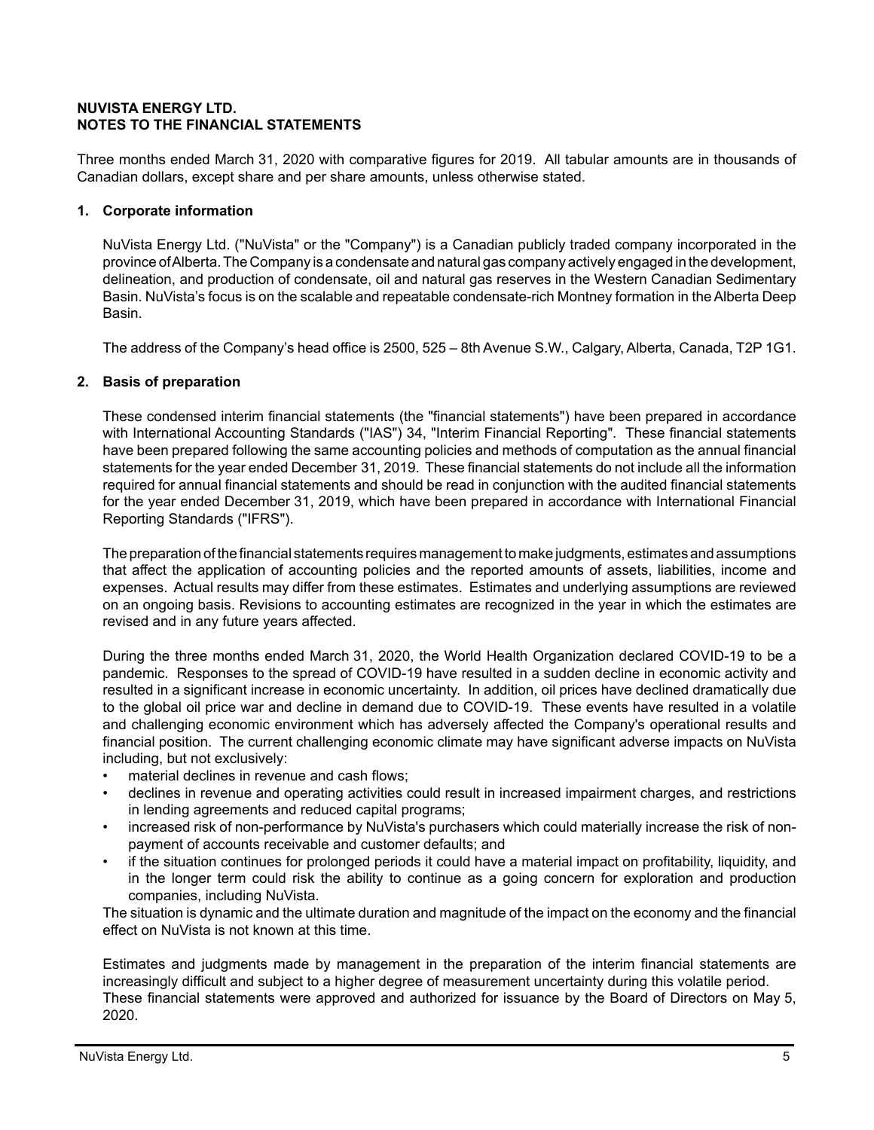### **NUVISTA ENERGY LTD. NOTES TO THE FINANCIAL STATEMENTS**

Three months ended March 31, 2020 with comparative figures for 2019. All tabular amounts are in thousands of Canadian dollars, except share and per share amounts, unless otherwise stated.

# **1. Corporate information**

NuVista Energy Ltd. ("NuVista" or the "Company") is a Canadian publicly traded company incorporated in the province of Alberta. The Company is a condensate and natural gas company actively engaged in the development, delineation, and production of condensate, oil and natural gas reserves in the Western Canadian Sedimentary Basin. NuVista's focus is on the scalable and repeatable condensate-rich Montney formation in the Alberta Deep Basin.

The address of the Company's head office is 2500, 525 – 8th Avenue S.W., Calgary, Alberta, Canada, T2P 1G1.

# **2. Basis of preparation**

These condensed interim financial statements (the "financial statements") have been prepared in accordance with International Accounting Standards ("IAS") 34, "Interim Financial Reporting". These financial statements have been prepared following the same accounting policies and methods of computation as the annual financial statements for the year ended December 31, 2019. These financial statements do not include all the information required for annual financial statements and should be read in conjunction with the audited financial statements for the year ended December 31, 2019, which have been prepared in accordance with International Financial Reporting Standards ("IFRS").

The preparation of the financial statements requires management to make judgments, estimates and assumptions that affect the application of accounting policies and the reported amounts of assets, liabilities, income and expenses. Actual results may differ from these estimates. Estimates and underlying assumptions are reviewed on an ongoing basis. Revisions to accounting estimates are recognized in the year in which the estimates are revised and in any future years affected.

During the three months ended March 31, 2020, the World Health Organization declared COVID-19 to be a pandemic. Responses to the spread of COVID-19 have resulted in a sudden decline in economic activity and resulted in a significant increase in economic uncertainty. In addition, oil prices have declined dramatically due to the global oil price war and decline in demand due to COVID-19. These events have resulted in a volatile and challenging economic environment which has adversely affected the Company's operational results and financial position. The current challenging economic climate may have significant adverse impacts on NuVista including, but not exclusively:

- material declines in revenue and cash flows;
- declines in revenue and operating activities could result in increased impairment charges, and restrictions in lending agreements and reduced capital programs;
- increased risk of non-performance by NuVista's purchasers which could materially increase the risk of nonpayment of accounts receivable and customer defaults; and
- if the situation continues for prolonged periods it could have a material impact on profitability, liquidity, and in the longer term could risk the ability to continue as a going concern for exploration and production companies, including NuVista.

The situation is dynamic and the ultimate duration and magnitude of the impact on the economy and the financial effect on NuVista is not known at this time.

Estimates and judgments made by management in the preparation of the interim financial statements are increasingly difficult and subject to a higher degree of measurement uncertainty during this volatile period. These financial statements were approved and authorized for issuance by the Board of Directors on May 5, 2020.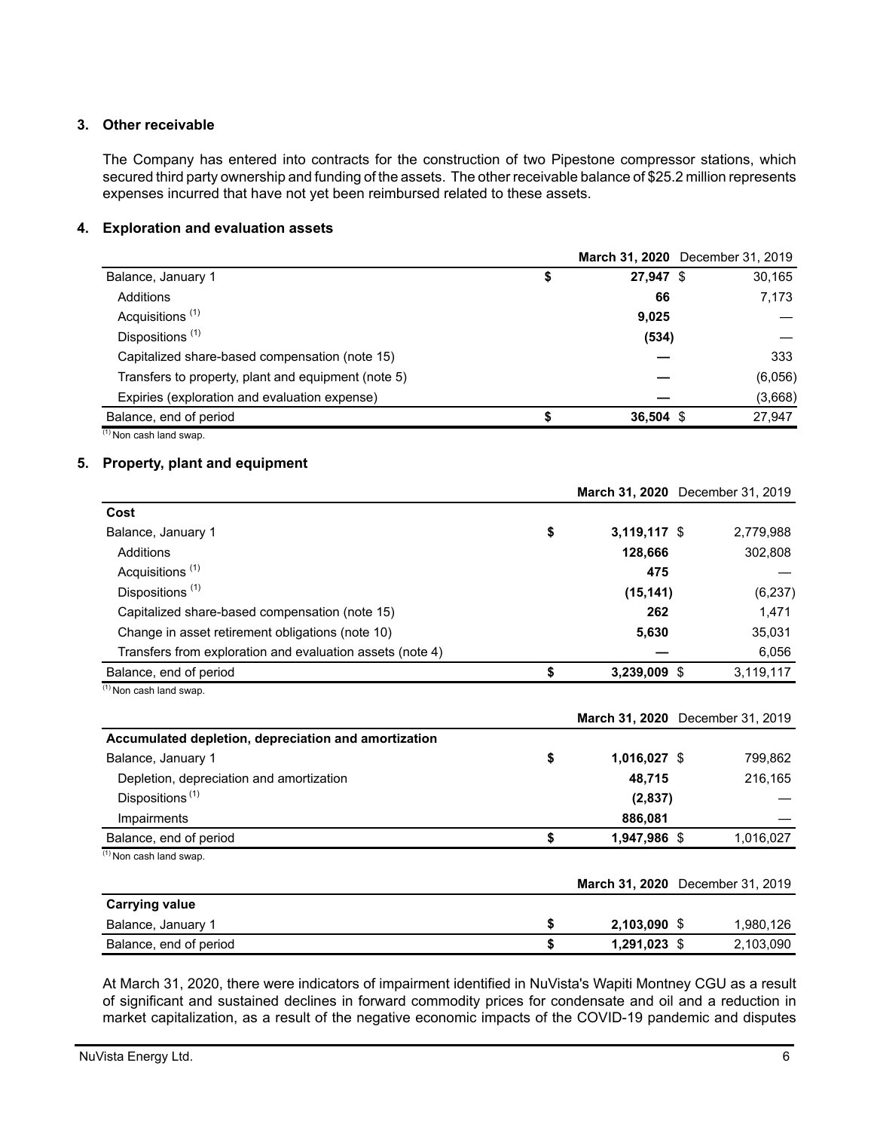### **3. Other receivable**

The Company has entered into contracts for the construction of two Pipestone compressor stations, which secured third party ownership and funding of the assets. The other receivable balance of \$25.2 million represents expenses incurred that have not yet been reimbursed related to these assets.

### **4. Exploration and evaluation assets**

|                                                     |                 | March 31, 2020 December 31, 2019 |
|-----------------------------------------------------|-----------------|----------------------------------|
| Balance, January 1                                  | \$<br>27,947 \$ | 30,165                           |
| Additions                                           | 66              | 7.173                            |
| Acquisitions <sup>(1)</sup>                         | 9,025           |                                  |
| Dispositions <sup>(1)</sup>                         | (534)           |                                  |
| Capitalized share-based compensation (note 15)      |                 | 333                              |
| Transfers to property, plant and equipment (note 5) |                 | (6,056)                          |
| Expiries (exploration and evaluation expense)       |                 | (3,668)                          |
| Balance, end of period                              | $36,504$ \$     | 27,947                           |
| $(1)$ Non cash land swap.                           |                 |                                  |

# **5. Property, plant and equipment**

|                                                           |                      | March 31, 2020 December 31, 2019 |
|-----------------------------------------------------------|----------------------|----------------------------------|
| Cost                                                      |                      |                                  |
| Balance, January 1                                        | \$<br>$3,119,117$ \$ | 2,779,988                        |
| <b>Additions</b>                                          | 128,666              | 302,808                          |
| Acquisitions <sup>(1)</sup>                               | 475                  |                                  |
| Dispositions <sup>(1)</sup>                               | (15, 141)            | (6, 237)                         |
| Capitalized share-based compensation (note 15)            | 262                  | 1,471                            |
| Change in asset retirement obligations (note 10)          | 5,630                | 35,031                           |
| Transfers from exploration and evaluation assets (note 4) |                      | 6,056                            |
| Balance, end of period                                    | \$<br>3,239,009 \$   | 3,119,117                        |
| $(1)$ Non cash land swap.                                 |                      |                                  |
|                                                           |                      | March 31, 2020 December 31, 2019 |
| Accumulated depletion, depreciation and amortization      |                      |                                  |
| Balance, January 1                                        | \$<br>1,016,027 \$   | 799,862                          |
| Depletion, depreciation and amortization                  | 48,715               | 216,165                          |
| Dispositions <sup>(1)</sup>                               | (2,837)              |                                  |
| Impairments                                               | 886,081              |                                  |
| Balance, end of period                                    | \$<br>1,947,986 \$   | 1,016,027                        |
| $(1)$ Non cash land swap.                                 |                      |                                  |
|                                                           |                      | March 31, 2020 December 31, 2019 |
| <b>Carrying value</b>                                     |                      |                                  |
| Balance, January 1                                        | \$<br>2,103,090 \$   | 1,980,126                        |
| Balance, end of period                                    | \$<br>1,291,023 \$   | 2,103,090                        |

At March 31, 2020, there were indicators of impairment identified in NuVista's Wapiti Montney CGU as a result of significant and sustained declines in forward commodity prices for condensate and oil and a reduction in market capitalization, as a result of the negative economic impacts of the COVID-19 pandemic and disputes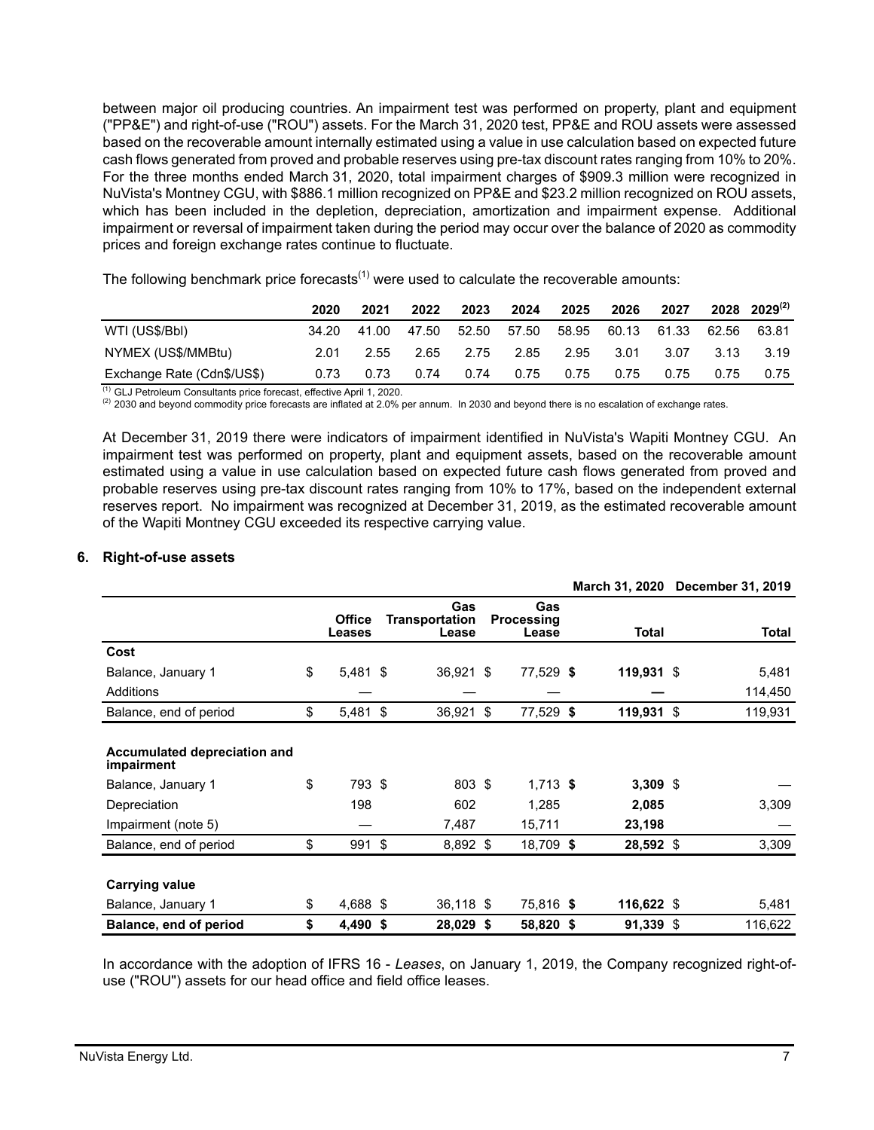between major oil producing countries. An impairment test was performed on property, plant and equipment ("PP&E") and right-of-use ("ROU") assets. For the March 31, 2020 test, PP&E and ROU assets were assessed based on the recoverable amount internally estimated using a value in use calculation based on expected future cash flows generated from proved and probable reserves using pre-tax discount rates ranging from 10% to 20%. For the three months ended March 31, 2020, total impairment charges of \$909.3 million were recognized in NuVista's Montney CGU, with \$886.1 million recognized on PP&E and \$23.2 million recognized on ROU assets, which has been included in the depletion, depreciation, amortization and impairment expense. Additional impairment or reversal of impairment taken during the period may occur over the balance of 2020 as commodity prices and foreign exchange rates continue to fluctuate.

The following benchmark price forecasts<sup> $(1)$ </sup> were used to calculate the recoverable amounts:

|                            | 2020  | 2021  | 2022  | 2023  | 2024  | 2025  | 2026  | 2027        |       | 2028 2029 <sup>(2)</sup> |
|----------------------------|-------|-------|-------|-------|-------|-------|-------|-------------|-------|--------------------------|
| WTI (US\$/Bbl)             | 34.20 | 41.00 | 47.50 | 52.50 | 57.50 | 58.95 |       | 60.13 61.33 | 62.56 | 63.81                    |
| NYMEX (US\$/MMBtu)         | 2.01  | 2.55  | 2.65  | 2.75  | 2.85  | 2.95  | -3.01 | 3.07        | 3.13  | 3.19                     |
| Exchange Rate (Cdn\$/US\$) | 0.73  | 0.73  | 0.74  | 0.74  | 0.75  | 0.75  | 0.75  | 0.75        | 0.75  | 0.75                     |

(1) GLJ Petroleum Consultants price forecast, effective April 1, 2020.

 $(2)$  2030 and beyond commodity price forecasts are inflated at 2.0% per annum. In 2030 and beyond there is no escalation of exchange rates.

At December 31, 2019 there were indicators of impairment identified in NuVista's Wapiti Montney CGU. An impairment test was performed on property, plant and equipment assets, based on the recoverable amount estimated using a value in use calculation based on expected future cash flows generated from proved and probable reserves using pre-tax discount rates ranging from 10% to 17%, based on the independent external reserves report. No impairment was recognized at December 31, 2019, as the estimated recoverable amount of the Wapiti Montney CGU exceeded its respective carrying value.

#### **6. Right-of-use assets**

|                                            |                         |     |                                       |                                   | <b>March 31, 2020</b> | December 31, 2019 |
|--------------------------------------------|-------------------------|-----|---------------------------------------|-----------------------------------|-----------------------|-------------------|
|                                            | <b>Office</b><br>Leases |     | Gas<br><b>Transportation</b><br>Lease | Gas<br><b>Processing</b><br>Lease | Total                 | <b>Total</b>      |
| Cost                                       |                         |     |                                       |                                   |                       |                   |
| Balance, January 1                         | \$<br>$5,481$ \$        |     | 36,921 \$                             | 77,529 \$                         | $119,931$ \$          | 5,481             |
| Additions                                  |                         |     |                                       |                                   |                       | 114,450           |
| Balance, end of period                     | \$<br>$5,481$ \$        |     | 36,921 \$                             | 77,529 \$                         | 119,931 \$            | 119,931           |
|                                            |                         |     |                                       |                                   |                       |                   |
| Accumulated depreciation and<br>impairment |                         |     |                                       |                                   |                       |                   |
| Balance, January 1                         | \$<br>793 \$            |     | 803 \$                                | $1,713$ \$                        | $3,309$ \$            |                   |
| Depreciation                               | 198                     |     | 602                                   | 1,285                             | 2,085                 | 3,309             |
| Impairment (note 5)                        |                         |     | 7,487                                 | 15,711                            | 23,198                |                   |
| Balance, end of period                     | \$<br>991               | -\$ | 8,892 \$                              | 18,709 \$                         | 28,592 \$             | 3,309             |
|                                            |                         |     |                                       |                                   |                       |                   |
| <b>Carrying value</b>                      |                         |     |                                       |                                   |                       |                   |
| Balance, January 1                         | \$<br>4,688 \$          |     | 36,118 \$                             | 75,816 \$                         | 116,622 \$            | 5,481             |
| Balance, end of period                     | \$<br>4,490 \$          |     | 28,029 \$                             | 58,820 \$                         | 91,339 \$             | 116,622           |

In accordance with the adoption of IFRS 16 - *Leases*, on January 1, 2019, the Company recognized right-ofuse ("ROU") assets for our head office and field office leases.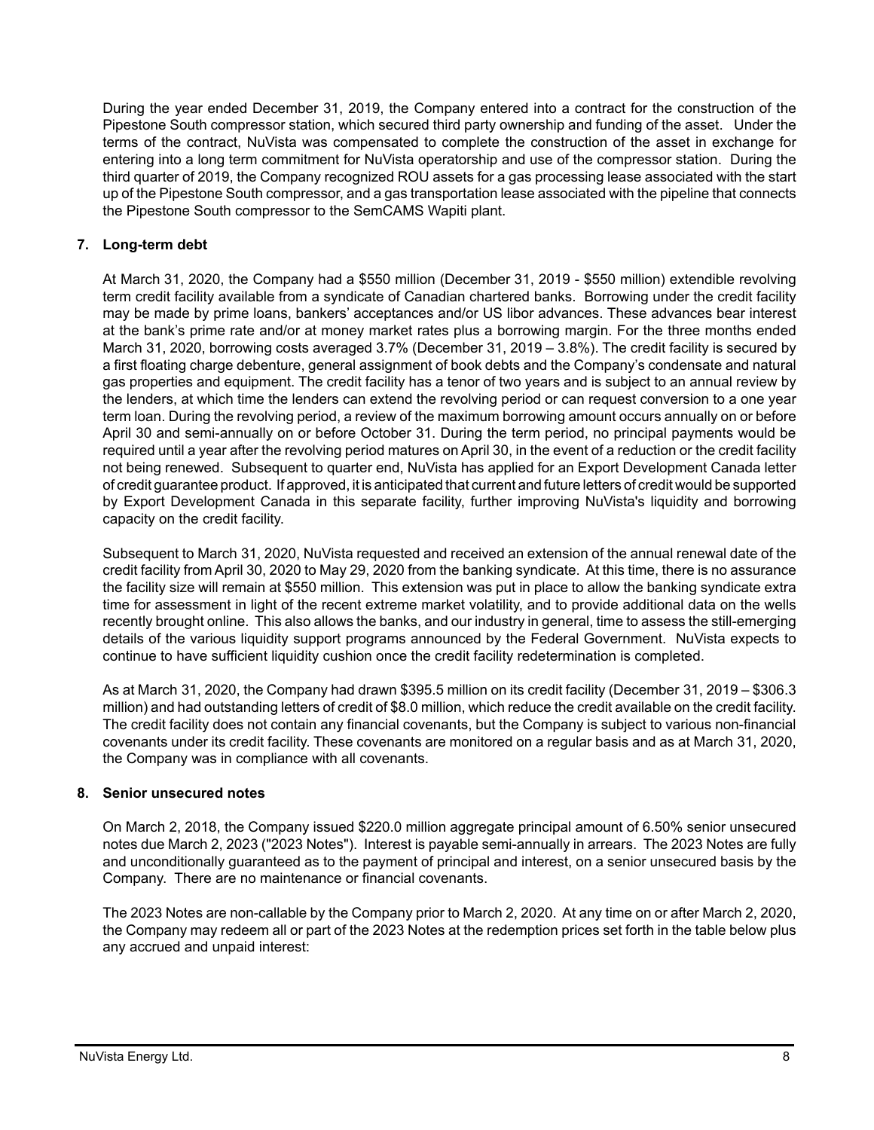During the year ended December 31, 2019, the Company entered into a contract for the construction of the Pipestone South compressor station, which secured third party ownership and funding of the asset. Under the terms of the contract, NuVista was compensated to complete the construction of the asset in exchange for entering into a long term commitment for NuVista operatorship and use of the compressor station. During the third quarter of 2019, the Company recognized ROU assets for a gas processing lease associated with the start up of the Pipestone South compressor, and a gas transportation lease associated with the pipeline that connects the Pipestone South compressor to the SemCAMS Wapiti plant.

# **7. Long-term debt**

At March 31, 2020, the Company had a \$550 million (December 31, 2019 - \$550 million) extendible revolving term credit facility available from a syndicate of Canadian chartered banks. Borrowing under the credit facility may be made by prime loans, bankers' acceptances and/or US libor advances. These advances bear interest at the bank's prime rate and/or at money market rates plus a borrowing margin. For the three months ended March 31, 2020, borrowing costs averaged 3.7% (December 31, 2019 – 3.8%). The credit facility is secured by a first floating charge debenture, general assignment of book debts and the Company's condensate and natural gas properties and equipment. The credit facility has a tenor of two years and is subject to an annual review by the lenders, at which time the lenders can extend the revolving period or can request conversion to a one year term loan. During the revolving period, a review of the maximum borrowing amount occurs annually on or before April 30 and semi-annually on or before October 31. During the term period, no principal payments would be required until a year after the revolving period matures on April 30, in the event of a reduction or the credit facility not being renewed. Subsequent to quarter end, NuVista has applied for an Export Development Canada letter of credit guarantee product. If approved, it is anticipated that current and future letters of credit would be supported by Export Development Canada in this separate facility, further improving NuVista's liquidity and borrowing capacity on the credit facility.

Subsequent to March 31, 2020, NuVista requested and received an extension of the annual renewal date of the credit facility from April 30, 2020 to May 29, 2020 from the banking syndicate. At this time, there is no assurance the facility size will remain at \$550 million. This extension was put in place to allow the banking syndicate extra time for assessment in light of the recent extreme market volatility, and to provide additional data on the wells recently brought online. This also allows the banks, and our industry in general, time to assess the still-emerging details of the various liquidity support programs announced by the Federal Government. NuVista expects to continue to have sufficient liquidity cushion once the credit facility redetermination is completed.

As at March 31, 2020, the Company had drawn \$395.5 million on its credit facility (December 31, 2019 – \$306.3 million) and had outstanding letters of credit of \$8.0 million, which reduce the credit available on the credit facility. The credit facility does not contain any financial covenants, but the Company is subject to various non-financial covenants under its credit facility. These covenants are monitored on a regular basis and as at March 31, 2020, the Company was in compliance with all covenants.

### **8. Senior unsecured notes**

On March 2, 2018, the Company issued \$220.0 million aggregate principal amount of 6.50% senior unsecured notes due March 2, 2023 ("2023 Notes"). Interest is payable semi-annually in arrears. The 2023 Notes are fully and unconditionally guaranteed as to the payment of principal and interest, on a senior unsecured basis by the Company. There are no maintenance or financial covenants.

The 2023 Notes are non-callable by the Company prior to March 2, 2020. At any time on or after March 2, 2020, the Company may redeem all or part of the 2023 Notes at the redemption prices set forth in the table below plus any accrued and unpaid interest: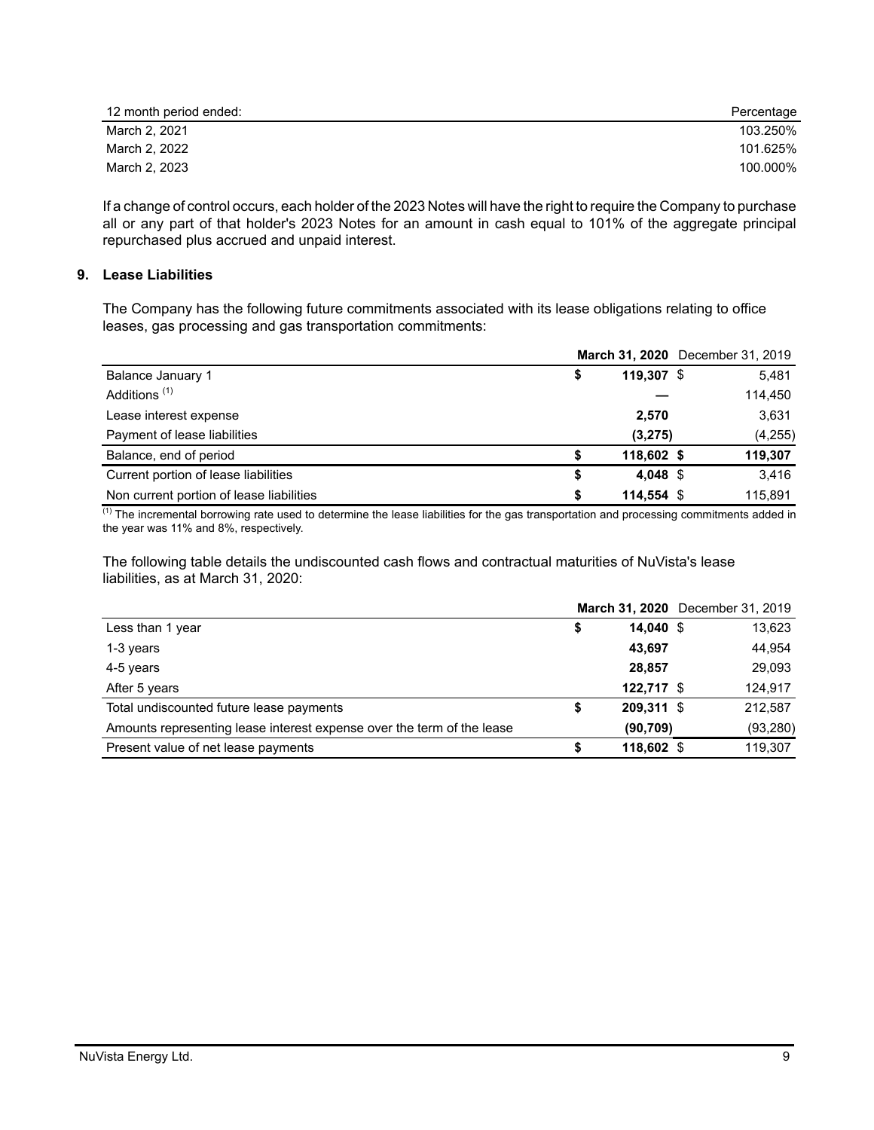| 12 month period ended: | Percentage |
|------------------------|------------|
| March 2, 2021          | 103.250%   |
| March 2, 2022          | 101.625%   |
| March 2, 2023          | 100.000%   |

If a change of control occurs, each holder of the 2023 Notes will have the right to require the Company to purchase all or any part of that holder's 2023 Notes for an amount in cash equal to 101% of the aggregate principal repurchased plus accrued and unpaid interest.

### **9. Lease Liabilities**

The Company has the following future commitments associated with its lease obligations relating to office leases, gas processing and gas transportation commitments:

|                                          |            | March 31, 2020 December 31, 2019 |
|------------------------------------------|------------|----------------------------------|
| Balance January 1                        | 119,307 \$ | 5,481                            |
| Additions <sup>(1)</sup>                 |            | 114,450                          |
| Lease interest expense                   | 2,570      | 3,631                            |
| Payment of lease liabilities             | (3,275)    | (4, 255)                         |
| Balance, end of period                   | 118,602 \$ | 119,307                          |
| Current portion of lease liabilities     | 4.048 \$   | 3.416                            |
| Non current portion of lease liabilities | 114,554 \$ | 115,891                          |

<sup>(1)</sup> The incremental borrowing rate used to determine the lease liabilities for the gas transportation and processing commitments added in the year was 11% and 8%, respectively.

The following table details the undiscounted cash flows and contractual maturities of NuVista's lease liabilities, as at March 31, 2020:

|                                                                        |            | March 31, 2020 December 31, 2019 |
|------------------------------------------------------------------------|------------|----------------------------------|
| Less than 1 year                                                       | 14.040 \$  | 13,623                           |
| 1-3 years                                                              | 43,697     | 44,954                           |
| 4-5 years                                                              | 28.857     | 29,093                           |
| After 5 years                                                          | 122.717 \$ | 124,917                          |
| Total undiscounted future lease payments                               | 209,311 \$ | 212,587                          |
| Amounts representing lease interest expense over the term of the lease | (90, 709)  | (93, 280)                        |
| Present value of net lease payments                                    | 118.602 \$ | 119.307                          |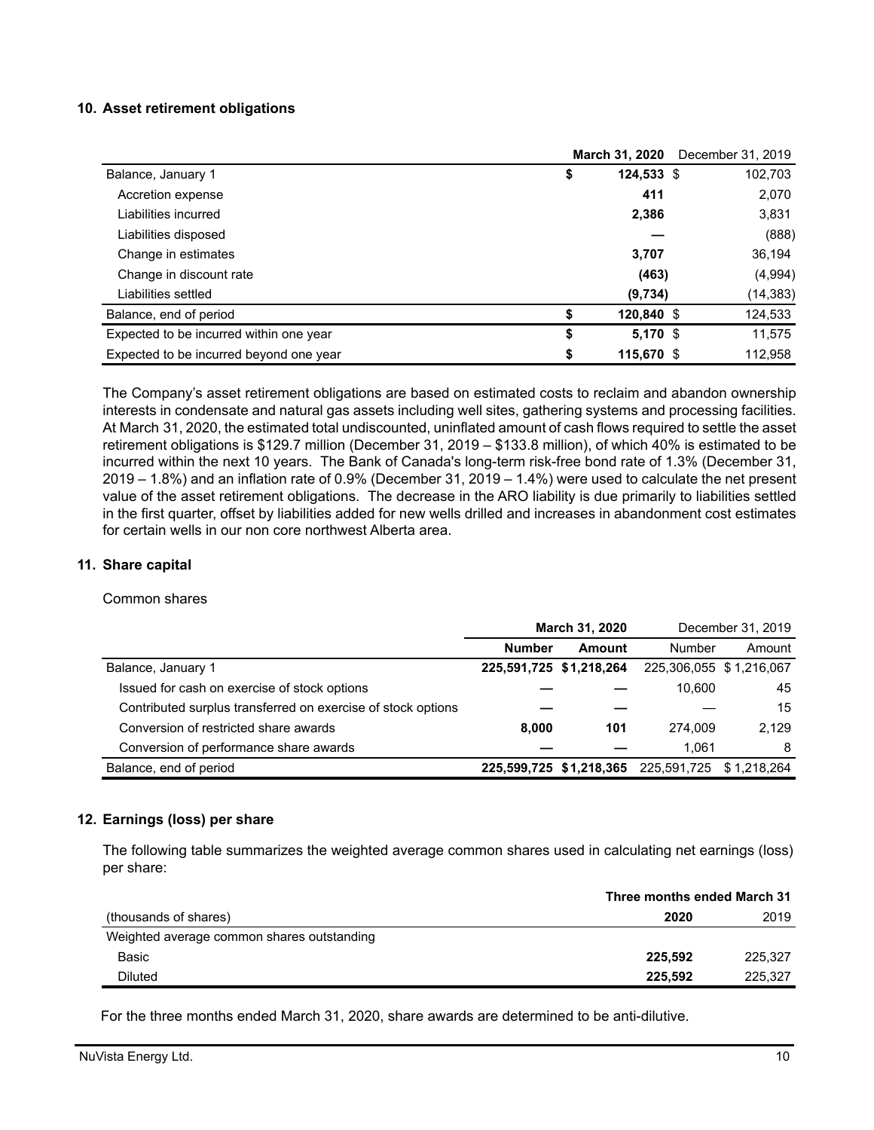#### **10. Asset retirement obligations**

|                                         | <b>March 31, 2020</b> | December 31, 2019 |
|-----------------------------------------|-----------------------|-------------------|
| Balance, January 1                      | \$<br>124,533 \$      | 102,703           |
| Accretion expense                       | 411                   | 2,070             |
| Liabilities incurred                    | 2,386                 | 3,831             |
| Liabilities disposed                    |                       | (888)             |
| Change in estimates                     | 3,707                 | 36,194            |
| Change in discount rate                 | (463)                 | (4,994)           |
| Liabilities settled                     | (9,734)               | (14, 383)         |
| Balance, end of period                  | \$<br>120,840 \$      | 124,533           |
| Expected to be incurred within one year | \$<br>$5,170$ \$      | 11,575            |
| Expected to be incurred beyond one year | \$<br>115,670 \$      | 112,958           |

The Company's asset retirement obligations are based on estimated costs to reclaim and abandon ownership interests in condensate and natural gas assets including well sites, gathering systems and processing facilities. At March 31, 2020, the estimated total undiscounted, uninflated amount of cash flows required to settle the asset retirement obligations is \$129.7 million (December 31, 2019 – \$133.8 million), of which 40% is estimated to be incurred within the next 10 years. The Bank of Canada's long-term risk-free bond rate of 1.3% (December 31, 2019 – 1.8%) and an inflation rate of 0.9% (December 31, 2019 – 1.4%) were used to calculate the net present value of the asset retirement obligations. The decrease in the ARO liability is due primarily to liabilities settled in the first quarter, offset by liabilities added for new wells drilled and increases in abandonment cost estimates for certain wells in our non core northwest Alberta area.

### **11. Share capital**

#### Common shares

|                                                              | <b>March 31, 2020</b>   |        |                                                 | December 31, 2019 |
|--------------------------------------------------------------|-------------------------|--------|-------------------------------------------------|-------------------|
|                                                              | <b>Number</b>           | Amount | Number                                          | Amount            |
| Balance, January 1                                           | 225,591,725 \$1,218,264 |        | 225,306,055 \$1,216,067                         |                   |
| Issued for cash on exercise of stock options                 |                         |        | 10.600                                          | 45                |
| Contributed surplus transferred on exercise of stock options |                         |        |                                                 | 15                |
| Conversion of restricted share awards                        | 8,000                   | 101    | 274.009                                         | 2.129             |
| Conversion of performance share awards                       |                         |        | 1.061                                           | 8                 |
| Balance, end of period                                       |                         |        | 225,599,725 \$1,218,365 225,591,725 \$1,218,264 |                   |

#### **12. Earnings (loss) per share**

The following table summarizes the weighted average common shares used in calculating net earnings (loss) per share:

|                                            | Three months ended March 31 |
|--------------------------------------------|-----------------------------|
| (thousands of shares)                      | 2020<br>2019                |
| Weighted average common shares outstanding |                             |
| Basic                                      | 225.592<br>225.327          |
| <b>Diluted</b>                             | 225.327<br>225.592          |

For the three months ended March 31, 2020, share awards are determined to be anti-dilutive.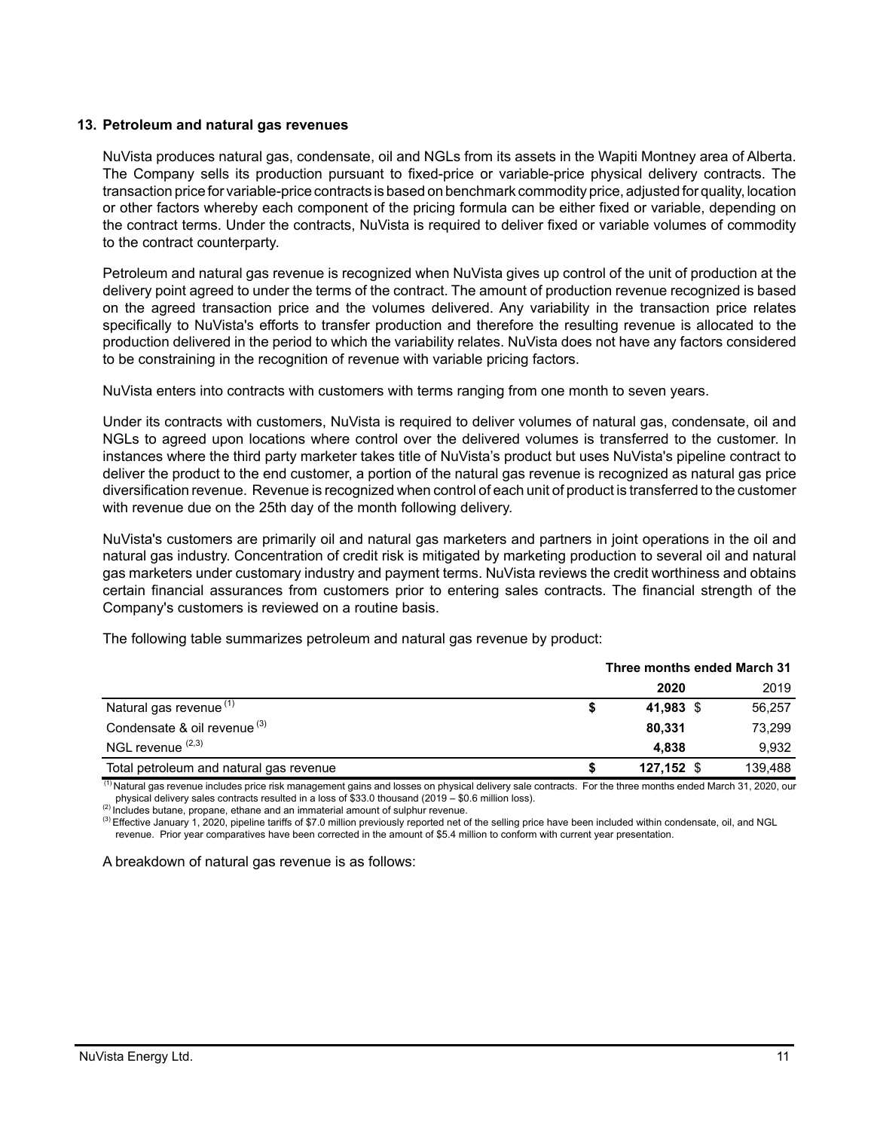#### **13. Petroleum and natural gas revenues**

NuVista produces natural gas, condensate, oil and NGLs from its assets in the Wapiti Montney area of Alberta. The Company sells its production pursuant to fixed-price or variable-price physical delivery contracts. The transaction price for variable-price contracts is based on benchmark commodity price, adjusted for quality, location or other factors whereby each component of the pricing formula can be either fixed or variable, depending on the contract terms. Under the contracts, NuVista is required to deliver fixed or variable volumes of commodity to the contract counterparty.

Petroleum and natural gas revenue is recognized when NuVista gives up control of the unit of production at the delivery point agreed to under the terms of the contract. The amount of production revenue recognized is based on the agreed transaction price and the volumes delivered. Any variability in the transaction price relates specifically to NuVista's efforts to transfer production and therefore the resulting revenue is allocated to the production delivered in the period to which the variability relates. NuVista does not have any factors considered to be constraining in the recognition of revenue with variable pricing factors.

NuVista enters into contracts with customers with terms ranging from one month to seven years.

Under its contracts with customers, NuVista is required to deliver volumes of natural gas, condensate, oil and NGLs to agreed upon locations where control over the delivered volumes is transferred to the customer. In instances where the third party marketer takes title of NuVista's product but uses NuVista's pipeline contract to deliver the product to the end customer, a portion of the natural gas revenue is recognized as natural gas price diversification revenue. Revenue is recognized when control of each unit of product is transferred to the customer with revenue due on the 25th day of the month following delivery.

NuVista's customers are primarily oil and natural gas marketers and partners in joint operations in the oil and natural gas industry. Concentration of credit risk is mitigated by marketing production to several oil and natural gas marketers under customary industry and payment terms. NuVista reviews the credit worthiness and obtains certain financial assurances from customers prior to entering sales contracts. The financial strength of the Company's customers is reviewed on a routine basis.

|                                         | Three months ended March 31 |              |  |         |
|-----------------------------------------|-----------------------------|--------------|--|---------|
|                                         |                             | 2020         |  | 2019    |
| Natural gas revenue <sup>(1)</sup>      |                             | 41,983 \$    |  | 56,257  |
| Condensate & oil revenue <sup>(3)</sup> |                             | 80.331       |  | 73.299  |
| NGL revenue $(2,3)$                     |                             | 4.838        |  | 9.932   |
| Total petroleum and natural gas revenue |                             | $127,152$ \$ |  | 139.488 |

The following table summarizes petroleum and natural gas revenue by product:

(1) Natural gas revenue includes price risk management gains and losses on physical delivery sale contracts. For the three months ended March 31, 2020, our physical delivery sales contracts resulted in a loss of \$33.0 thousand (2019 – \$0.6 million loss).

(2) Includes butane, propane, ethane and an immaterial amount of sulphur revenue.

<sup>(3)</sup> Effective January 1, 2020, pipeline tariffs of \$7.0 million previously reported net of the selling price have been included within condensate, oil, and NGL revenue. Prior year comparatives have been corrected in the amount of \$5.4 million to conform with current year presentation.

A breakdown of natural gas revenue is as follows: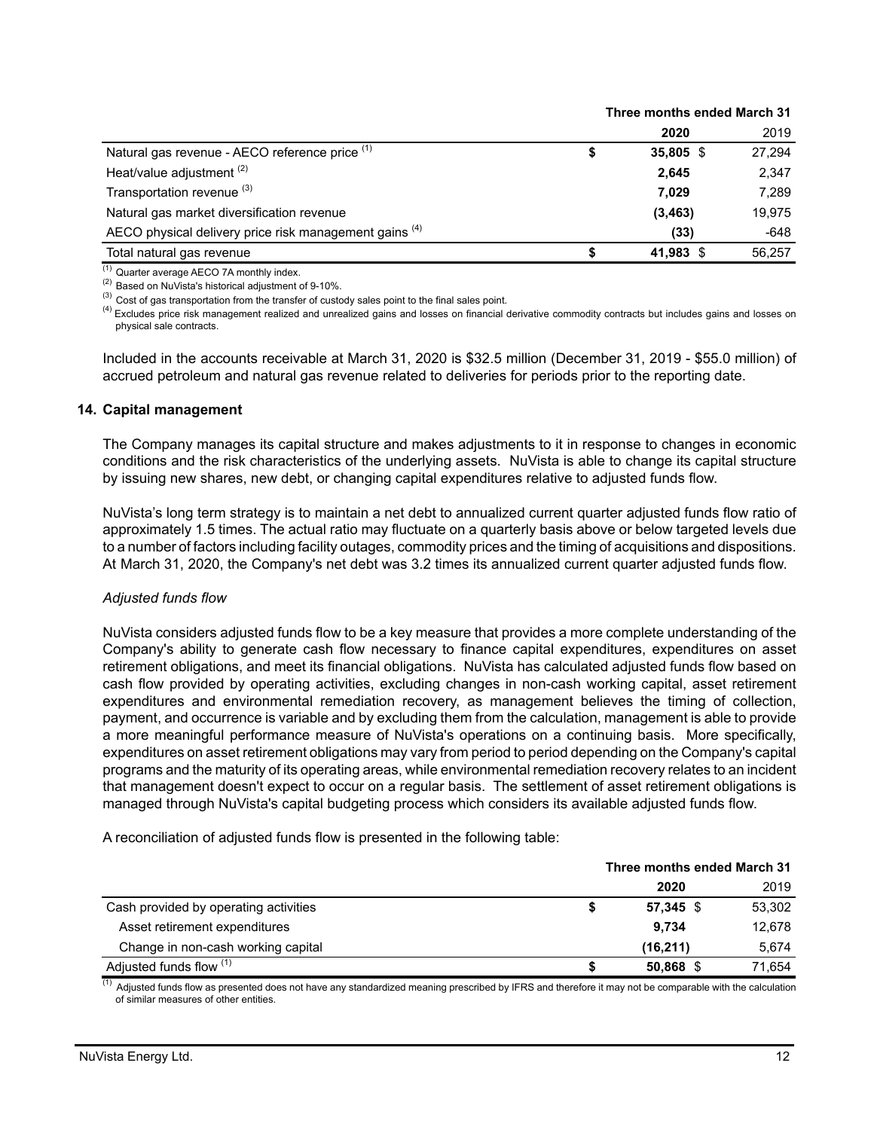|                                                        | Three months ended March 31 |             |        |
|--------------------------------------------------------|-----------------------------|-------------|--------|
|                                                        |                             | 2020        | 2019   |
| Natural gas revenue - AECO reference price (1)         |                             | $35,805$ \$ | 27,294 |
| Heat/value adjustment <sup>(2)</sup>                   |                             | 2.645       | 2,347  |
| Transportation revenue (3)                             |                             | 7.029       | 7.289  |
| Natural gas market diversification revenue             |                             | (3, 463)    | 19,975 |
| AECO physical delivery price risk management gains (4) |                             | (33)        | $-648$ |
| Total natural gas revenue                              |                             | 41,983 \$   | 56.257 |

(1) Quarter average AECO 7A monthly index.

(2) Based on NuVista's historical adjustment of 9-10%.

 $^{(3)}$  Cost of gas transportation from the transfer of custody sales point to the final sales point.

<sup>(4)</sup> Excludes price risk management realized and unrealized gains and losses on financial derivative commodity contracts but includes gains and losses on physical sale contracts.

Included in the accounts receivable at March 31, 2020 is \$32.5 million (December 31, 2019 - \$55.0 million) of accrued petroleum and natural gas revenue related to deliveries for periods prior to the reporting date.

#### **14. Capital management**

The Company manages its capital structure and makes adjustments to it in response to changes in economic conditions and the risk characteristics of the underlying assets. NuVista is able to change its capital structure by issuing new shares, new debt, or changing capital expenditures relative to adjusted funds flow.

NuVista's long term strategy is to maintain a net debt to annualized current quarter adjusted funds flow ratio of approximately 1.5 times. The actual ratio may fluctuate on a quarterly basis above or below targeted levels due to a number of factors including facility outages, commodity prices and the timing of acquisitions and dispositions. At March 31, 2020, the Company's net debt was 3.2 times its annualized current quarter adjusted funds flow.

#### *Adjusted funds flow*

NuVista considers adjusted funds flow to be a key measure that provides a more complete understanding of the Company's ability to generate cash flow necessary to finance capital expenditures, expenditures on asset retirement obligations, and meet its financial obligations. NuVista has calculated adjusted funds flow based on cash flow provided by operating activities, excluding changes in non-cash working capital, asset retirement expenditures and environmental remediation recovery, as management believes the timing of collection, payment, and occurrence is variable and by excluding them from the calculation, management is able to provide a more meaningful performance measure of NuVista's operations on a continuing basis. More specifically, expenditures on asset retirement obligations may vary from period to period depending on the Company's capital programs and the maturity of its operating areas, while environmental remediation recovery relates to an incident that management doesn't expect to occur on a regular basis. The settlement of asset retirement obligations is managed through NuVista's capital budgeting process which considers its available adjusted funds flow.

A reconciliation of adjusted funds flow is presented in the following table:

|                                       | Three months ended March 31 |             |        |
|---------------------------------------|-----------------------------|-------------|--------|
|                                       |                             | 2020        | 2019   |
| Cash provided by operating activities |                             | $57.345$ \$ | 53.302 |
| Asset retirement expenditures         |                             | 9.734       | 12.678 |
| Change in non-cash working capital    |                             | (16, 211)   | 5.674  |
| Adjusted funds flow (1)               |                             | 50,868 \$   | 71.654 |

<sup>(1)</sup> Adjusted funds flow as presented does not have any standardized meaning prescribed by IFRS and therefore it may not be comparable with the calculation of similar measures of other entities.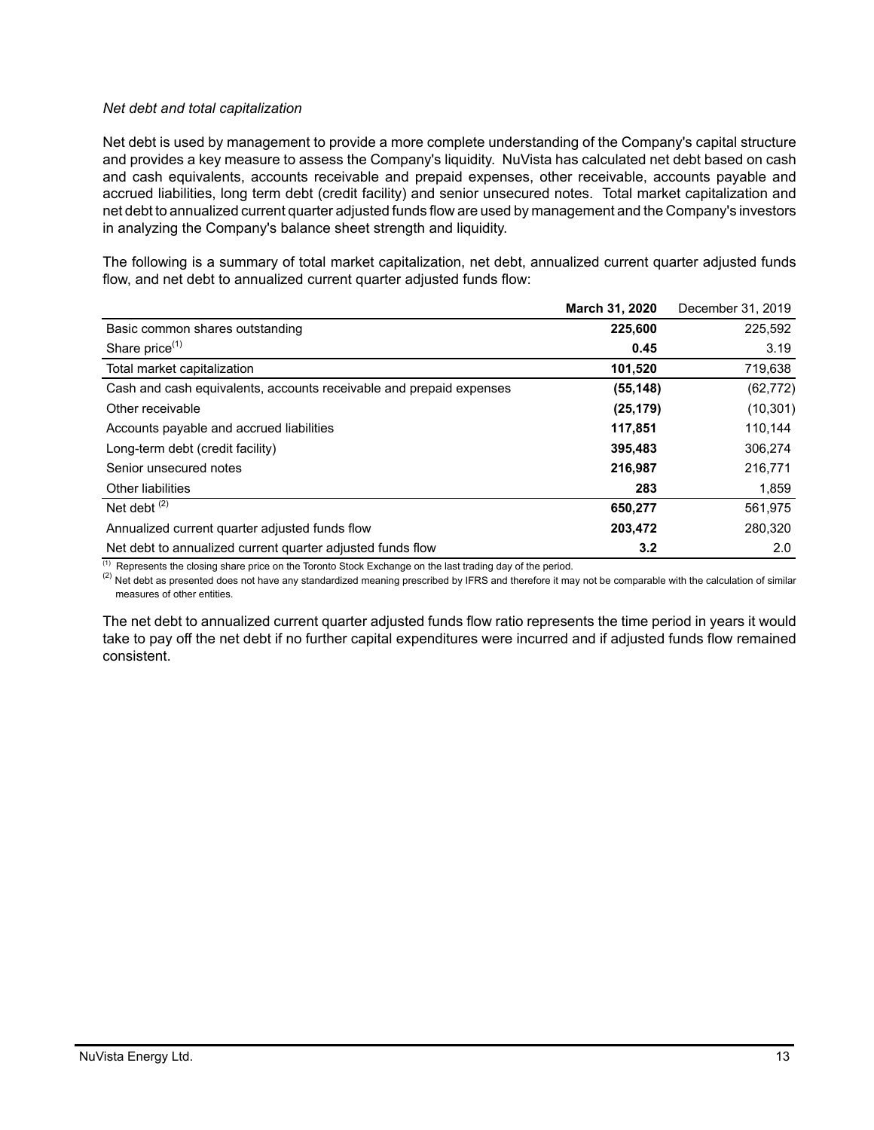### *Net debt and total capitalization*

Net debt is used by management to provide a more complete understanding of the Company's capital structure and provides a key measure to assess the Company's liquidity. NuVista has calculated net debt based on cash and cash equivalents, accounts receivable and prepaid expenses, other receivable, accounts payable and accrued liabilities, long term debt (credit facility) and senior unsecured notes. Total market capitalization and net debt to annualized current quarter adjusted funds flow are used by management and the Company's investors in analyzing the Company's balance sheet strength and liquidity.

The following is a summary of total market capitalization, net debt, annualized current quarter adjusted funds flow, and net debt to annualized current quarter adjusted funds flow:

|                                                                     | March 31, 2020 | December 31, 2019 |
|---------------------------------------------------------------------|----------------|-------------------|
| Basic common shares outstanding                                     | 225,600        | 225,592           |
| Share price <sup>(1)</sup>                                          | 0.45           | 3.19              |
| Total market capitalization                                         | 101,520        | 719,638           |
| Cash and cash equivalents, accounts receivable and prepaid expenses | (55, 148)      | (62, 772)         |
| Other receivable                                                    | (25, 179)      | (10, 301)         |
| Accounts payable and accrued liabilities                            | 117,851        | 110,144           |
| Long-term debt (credit facility)                                    | 395,483        | 306,274           |
| Senior unsecured notes                                              | 216,987        | 216,771           |
| Other liabilities                                                   | 283            | 1,859             |
| Net debt $(2)$                                                      | 650,277        | 561.975           |
| Annualized current quarter adjusted funds flow                      | 203,472        | 280,320           |
| Net debt to annualized current quarter adjusted funds flow          | 3.2            | 2.0               |

 $(1)$  Represents the closing share price on the Toronto Stock Exchange on the last trading day of the period.

 $^{(2)}$  Net debt as presented does not have any standardized meaning prescribed by IFRS and therefore it may not be comparable with the calculation of similar measures of other entities.

The net debt to annualized current quarter adjusted funds flow ratio represents the time period in years it would take to pay off the net debt if no further capital expenditures were incurred and if adjusted funds flow remained consistent.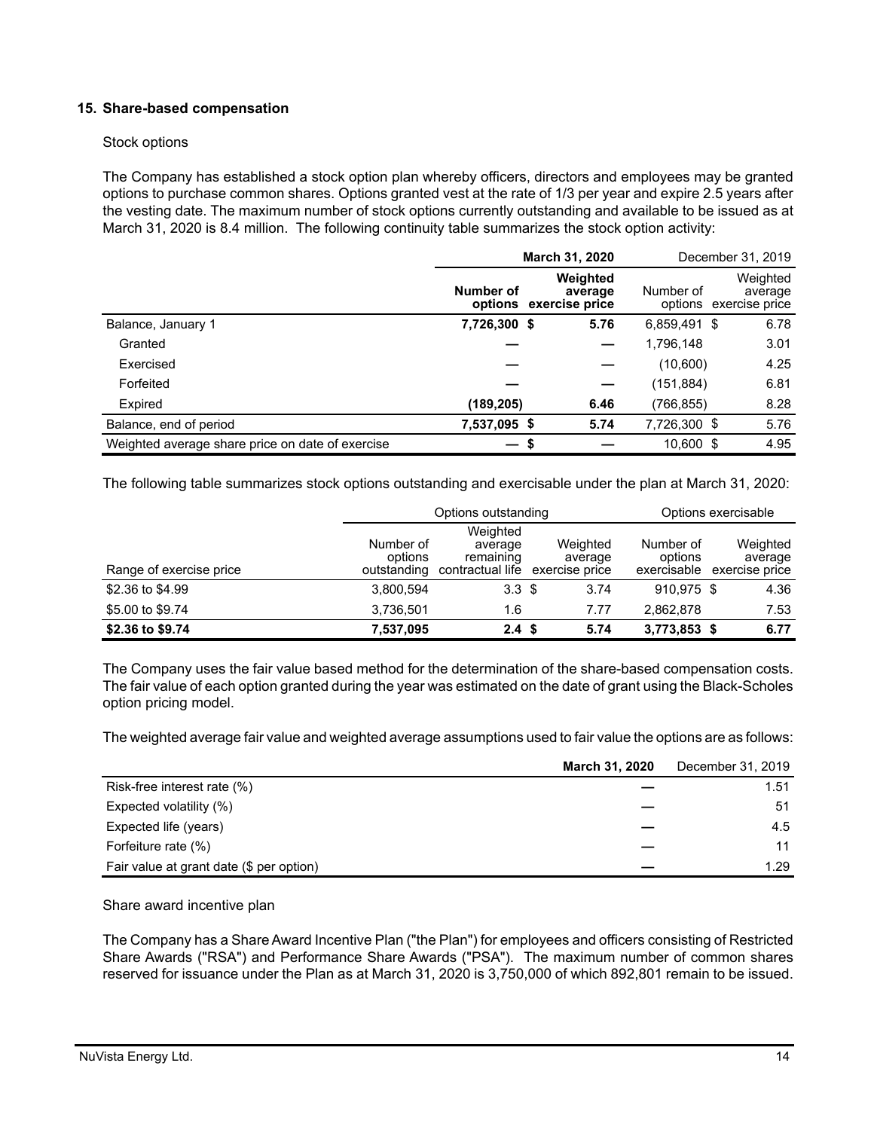### **15. Share-based compensation**

#### Stock options

The Company has established a stock option plan whereby officers, directors and employees may be granted options to purchase common shares. Options granted vest at the rate of 1/3 per year and expire 2.5 years after the vesting date. The maximum number of stock options currently outstanding and available to be issued as at March 31, 2020 is 8.4 million. The following continuity table summarizes the stock option activity:

|                                                  | March 31, 2020 |                                               |              | December 31, 2019                             |
|--------------------------------------------------|----------------|-----------------------------------------------|--------------|-----------------------------------------------|
|                                                  | Number of      | Weighted<br>average<br>options exercise price | Number of    | Weighted<br>average<br>options exercise price |
| Balance, January 1                               | 7,726,300 \$   | 5.76                                          | 6,859,491 \$ | 6.78                                          |
| Granted                                          |                |                                               | 1,796,148    | 3.01                                          |
| Exercised                                        |                |                                               | (10,600)     | 4.25                                          |
| Forfeited                                        |                |                                               | (151,884)    | 6.81                                          |
| Expired                                          | (189,205)      | 6.46                                          | (766, 855)   | 8.28                                          |
| Balance, end of period                           | 7,537,095 \$   | 5.74                                          | 7,726,300 \$ | 5.76                                          |
| Weighted average share price on date of exercise |                | S                                             | 10.600 \$    | 4.95                                          |

The following table summarizes stock options outstanding and exercisable under the plan at March 31, 2020:

|                         |                                     | Options outstanding                                  |                                       |                                     | Options exercisable                   |
|-------------------------|-------------------------------------|------------------------------------------------------|---------------------------------------|-------------------------------------|---------------------------------------|
| Range of exercise price | Number of<br>options<br>outstanding | Weighted<br>average<br>remaining<br>contractual life | Weighted<br>average<br>exercise price | Number of<br>options<br>exercisable | Weighted<br>average<br>exercise price |
| \$2.36 to \$4.99        | 3.800.594                           | 3.3 <sup>5</sup>                                     | 3.74                                  | 910.975 \$                          | 4.36                                  |
| \$5.00 to \$9.74        | 3.736.501                           | 1.6                                                  | 7.77                                  | 2.862.878                           | 7.53                                  |
| \$2.36 to \$9.74        | 7,537,095                           | 2.4 <sup>5</sup>                                     | 5.74                                  | 3,773,853 \$                        | 6.77                                  |

The Company uses the fair value based method for the determination of the share-based compensation costs. The fair value of each option granted during the year was estimated on the date of grant using the Black-Scholes option pricing model.

The weighted average fair value and weighted average assumptions used to fair value the options are as follows:

|                                          | <b>March 31, 2020</b> | December 31, 2019 |
|------------------------------------------|-----------------------|-------------------|
| Risk-free interest rate (%)              |                       | 1.51              |
| Expected volatility (%)                  |                       | 51                |
| Expected life (years)                    |                       | 4.5               |
| Forfeiture rate (%)                      |                       | 11                |
| Fair value at grant date (\$ per option) |                       | 1.29              |

Share award incentive plan

The Company has a Share Award Incentive Plan ("the Plan") for employees and officers consisting of Restricted Share Awards ("RSA") and Performance Share Awards ("PSA"). The maximum number of common shares reserved for issuance under the Plan as at March 31, 2020 is 3,750,000 of which 892,801 remain to be issued.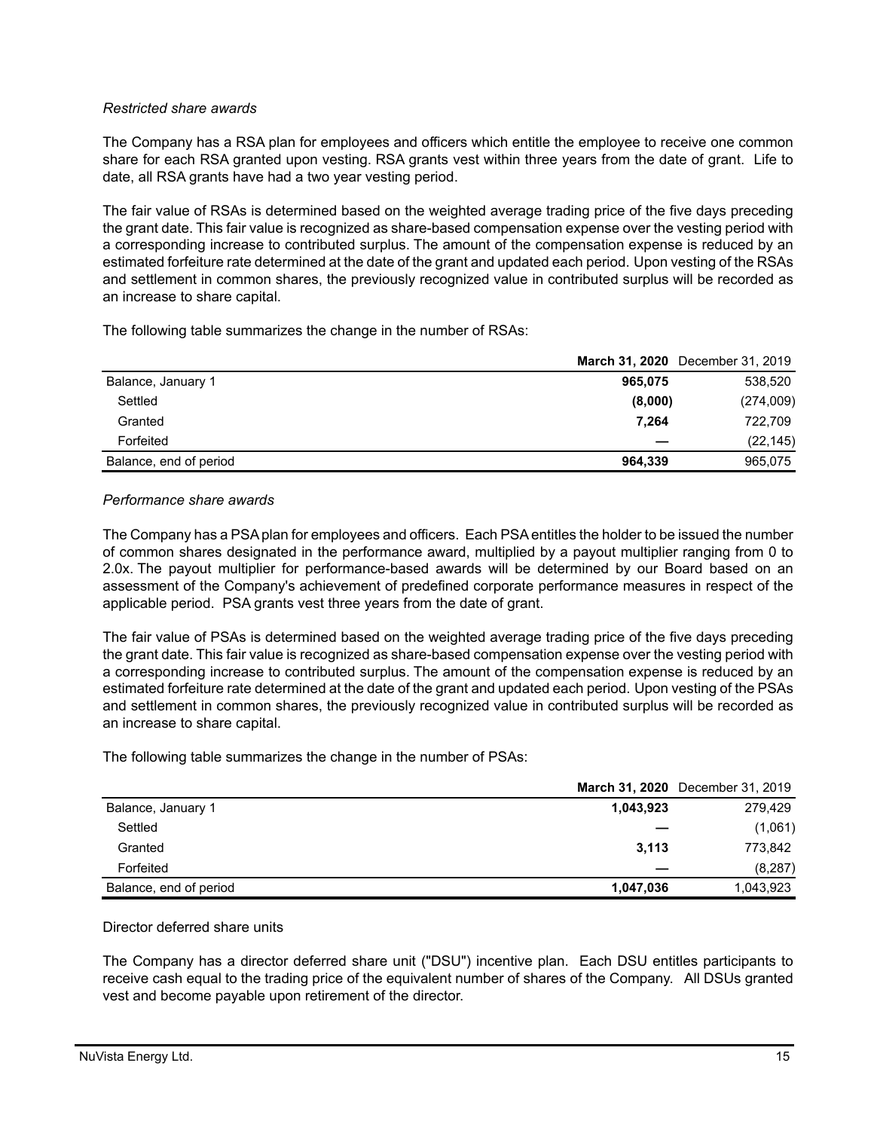### *Restricted share awards*

The Company has a RSA plan for employees and officers which entitle the employee to receive one common share for each RSA granted upon vesting. RSA grants vest within three years from the date of grant. Life to date, all RSA grants have had a two year vesting period.

The fair value of RSAs is determined based on the weighted average trading price of the five days preceding the grant date. This fair value is recognized as share-based compensation expense over the vesting period with a corresponding increase to contributed surplus. The amount of the compensation expense is reduced by an estimated forfeiture rate determined at the date of the grant and updated each period. Upon vesting of the RSAs and settlement in common shares, the previously recognized value in contributed surplus will be recorded as an increase to share capital.

The following table summarizes the change in the number of RSAs:

|                        | <b>March 31, 2020</b> December 31, 2019 |           |
|------------------------|-----------------------------------------|-----------|
| Balance, January 1     | 538,520<br>965,075                      |           |
| Settled                | (274,009)<br>(8,000)                    |           |
| Granted                | 722.709<br>7.264                        |           |
| Forfeited              |                                         | (22, 145) |
| Balance, end of period | 965,075<br>964.339                      |           |

#### *Performance share awards*

The Company has a PSA plan for employees and officers. Each PSA entitles the holder to be issued the number of common shares designated in the performance award, multiplied by a payout multiplier ranging from 0 to 2.0x. The payout multiplier for performance-based awards will be determined by our Board based on an assessment of the Company's achievement of predefined corporate performance measures in respect of the applicable period. PSA grants vest three years from the date of grant.

The fair value of PSAs is determined based on the weighted average trading price of the five days preceding the grant date. This fair value is recognized as share-based compensation expense over the vesting period with a corresponding increase to contributed surplus. The amount of the compensation expense is reduced by an estimated forfeiture rate determined at the date of the grant and updated each period. Upon vesting of the PSAs and settlement in common shares, the previously recognized value in contributed surplus will be recorded as an increase to share capital.

The following table summarizes the change in the number of PSAs:

|                        |           | March 31, 2020 December 31, 2019 |
|------------------------|-----------|----------------------------------|
| Balance, January 1     | 1,043,923 | 279,429                          |
| Settled                |           | (1,061)                          |
| Granted                | 3.113     | 773.842                          |
| Forfeited              |           | (8, 287)                         |
| Balance, end of period | 1,047,036 | 1,043,923                        |

### Director deferred share units

The Company has a director deferred share unit ("DSU") incentive plan. Each DSU entitles participants to receive cash equal to the trading price of the equivalent number of shares of the Company. All DSUs granted vest and become payable upon retirement of the director.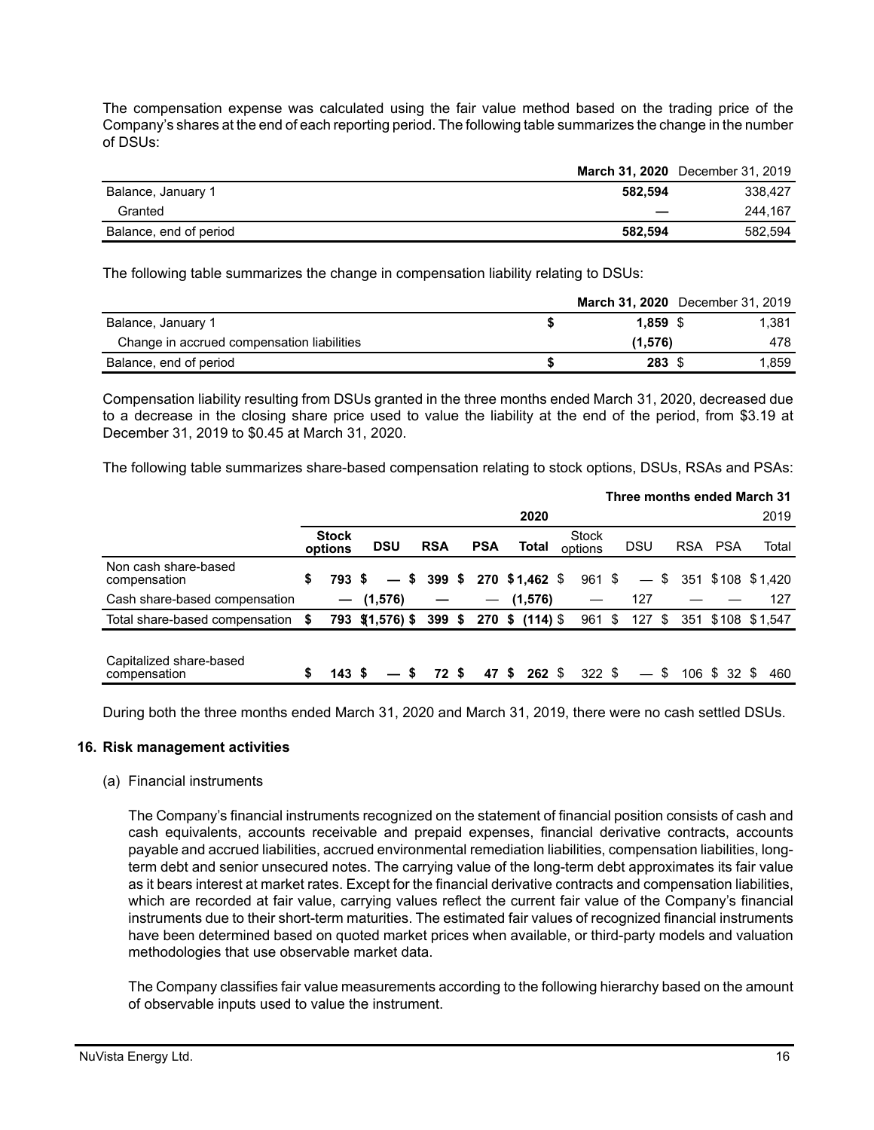The compensation expense was calculated using the fair value method based on the trading price of the Company's shares at the end of each reporting period. The following table summarizes the change in the number of DSUs:

|                        |         | March 31, 2020 December 31, 2019 |
|------------------------|---------|----------------------------------|
| Balance, January 1     | 582.594 | 338.427                          |
| Granted                | _       | 244.167                          |
| Balance, end of period | 582.594 | 582.594                          |

The following table summarizes the change in compensation liability relating to DSUs:

|                                            |            | March 31, 2020 December 31, 2019 |
|--------------------------------------------|------------|----------------------------------|
| Balance, January 1                         | $1.859$ \$ | 1.381                            |
| Change in accrued compensation liabilities | (1.576)    | 478                              |
| Balance, end of period                     | 283 \$     | 1.859                            |

Compensation liability resulting from DSUs granted in the three months ended March 31, 2020, decreased due to a decrease in the closing share price used to value the liability at the end of the period, from \$3.19 at December 31, 2019 to \$0.45 at March 31, 2020.

The following table summarizes share-based compensation relating to stock options, DSUs, RSAs and PSAs:

|                                         |    |                         |                  |            |      |                          |                      |                         |                          |    |            |              | Three months ended March 31 |
|-----------------------------------------|----|-------------------------|------------------|------------|------|--------------------------|----------------------|-------------------------|--------------------------|----|------------|--------------|-----------------------------|
|                                         |    |                         |                  |            |      |                          | 2020                 |                         |                          |    |            |              | 2019                        |
|                                         |    | <b>Stock</b><br>options | <b>DSU</b>       | <b>RSA</b> |      | <b>PSA</b>               | <b>Total</b>         | <b>Stock</b><br>options | <b>DSU</b>               |    | <b>RSA</b> | PSA          | Total                       |
| Non cash share-based<br>compensation    | \$ | 793 S                   |                  | $-$ \$ 399 | - \$ |                          | 270 \$1,462 \$       | 961 \$                  | $\qquad \qquad -$        | S. |            |              | 351 \$108 \$1,420           |
| Cash share-based compensation           |    |                         | $-$ (1,576)      |            |      | $\overline{\phantom{0}}$ | (1,576)              |                         | 127                      |    |            |              | 127                         |
| Total share-based compensation          | S  |                         | 793 \$(1,576) \$ | $399$ \$   |      |                          | $270 \;$ \$ (114) \$ | $961$ \$                | 127                      | \$ |            |              | 351 \$108 \$1,547           |
| Capitalized share-based<br>compensation |    | 143S                    | $-$ s            | 72 S       |      | 47\$                     | <b>262 \$</b>        | $322$ \$                | $\overline{\phantom{0}}$ | \$ |            | 106 \$ 32 \$ | 460                         |

During both the three months ended March 31, 2020 and March 31, 2019, there were no cash settled DSUs.

#### **16. Risk management activities**

#### (a) Financial instruments

The Company's financial instruments recognized on the statement of financial position consists of cash and cash equivalents, accounts receivable and prepaid expenses, financial derivative contracts, accounts payable and accrued liabilities, accrued environmental remediation liabilities, compensation liabilities, longterm debt and senior unsecured notes. The carrying value of the long-term debt approximates its fair value as it bears interest at market rates. Except for the financial derivative contracts and compensation liabilities, which are recorded at fair value, carrying values reflect the current fair value of the Company's financial instruments due to their short-term maturities. The estimated fair values of recognized financial instruments have been determined based on quoted market prices when available, or third-party models and valuation methodologies that use observable market data.

The Company classifies fair value measurements according to the following hierarchy based on the amount of observable inputs used to value the instrument.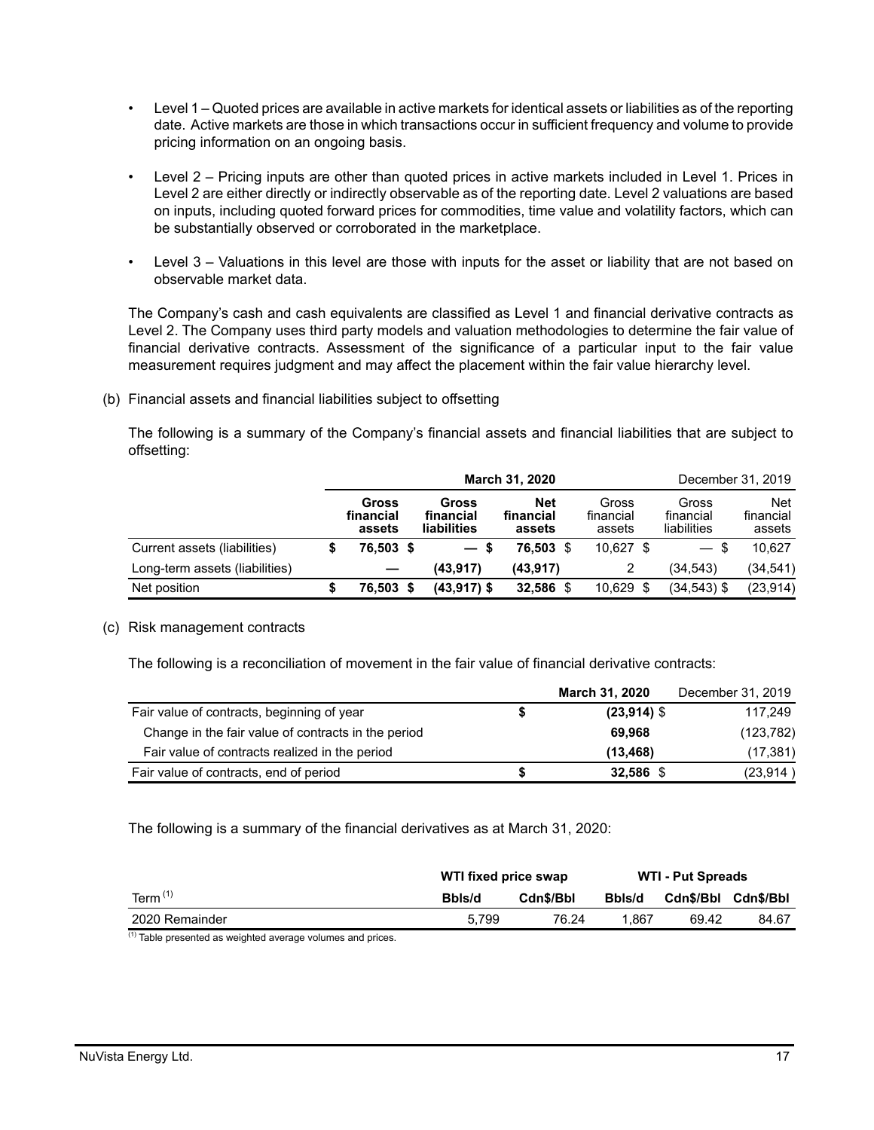- Level 1 Quoted prices are available in active markets for identical assets or liabilities as of the reporting date. Active markets are those in which transactions occur in sufficient frequency and volume to provide pricing information on an ongoing basis.
- Level 2 Pricing inputs are other than quoted prices in active markets included in Level 1. Prices in Level 2 are either directly or indirectly observable as of the reporting date. Level 2 valuations are based on inputs, including quoted forward prices for commodities, time value and volatility factors, which can be substantially observed or corroborated in the marketplace.
- Level 3 Valuations in this level are those with inputs for the asset or liability that are not based on observable market data.

The Company's cash and cash equivalents are classified as Level 1 and financial derivative contracts as Level 2. The Company uses third party models and valuation methodologies to determine the fair value of financial derivative contracts. Assessment of the significance of a particular input to the fair value measurement requires judgment and may affect the placement within the fair value hierarchy level.

(b) Financial assets and financial liabilities subject to offsetting

The following is a summary of the Company's financial assets and financial liabilities that are subject to offsetting:

|                                | March 31, 2020 |                              |  |                                   |                                   |  |                              |  | December 31, 2019                 |                                   |  |  |  |
|--------------------------------|----------------|------------------------------|--|-----------------------------------|-----------------------------------|--|------------------------------|--|-----------------------------------|-----------------------------------|--|--|--|
|                                |                | Gross<br>financial<br>assets |  | Gross<br>financial<br>liabilities | <b>Net</b><br>financial<br>assets |  | Gross<br>financial<br>assets |  | Gross<br>financial<br>liabilities | <b>Net</b><br>financial<br>assets |  |  |  |
| Current assets (liabilities)   |                | 76,503 \$                    |  | $-s$                              | 76.503 \$                         |  | $10,627$ \$                  |  | $-$ \$                            | 10.627                            |  |  |  |
| Long-term assets (liabilities) |                |                              |  | (43.917)                          | (43, 917)                         |  |                              |  | (34, 543)                         | (34,541)                          |  |  |  |
| Net position                   |                | 76.503 \$                    |  | (43,917) \$                       | 32,586                            |  | $10,629$ \$                  |  | $(34,543)$ \$                     | (23, 914)                         |  |  |  |

### (c) Risk management contracts

The following is a reconciliation of movement in the fair value of financial derivative contracts:

|                                                     |   | <b>March 31, 2020</b> | December 31, 2019 |
|-----------------------------------------------------|---|-----------------------|-------------------|
| Fair value of contracts, beginning of year          |   | $(23,914)$ \$         | 117,249           |
| Change in the fair value of contracts in the period |   | 69.968                | (123, 782)        |
| Fair value of contracts realized in the period      |   | (13, 468)             | (17, 381)         |
| Fair value of contracts, end of period              | S | 32,586 \$             | (23, 914)         |

The following is a summary of the financial derivatives as at March 31, 2020:

|                | WTI fixed price swap |           | <b>WTI - Put Spreads</b> |                     |       |
|----------------|----------------------|-----------|--------------------------|---------------------|-------|
| Term $(1)$     | Bbls/d               | Cdn\$/Bbl | Bbls/d                   | Cdn\$/Bbl Cdn\$/Bbl |       |
| 2020 Remainder | 5.799                | 76.24     | 1.867                    | 69.42               | 84.67 |
| $(1) - 1$<br>. |                      |           |                          |                     |       |

 $<sup>(1)</sup>$  Table presented as weighted average volumes and prices.</sup>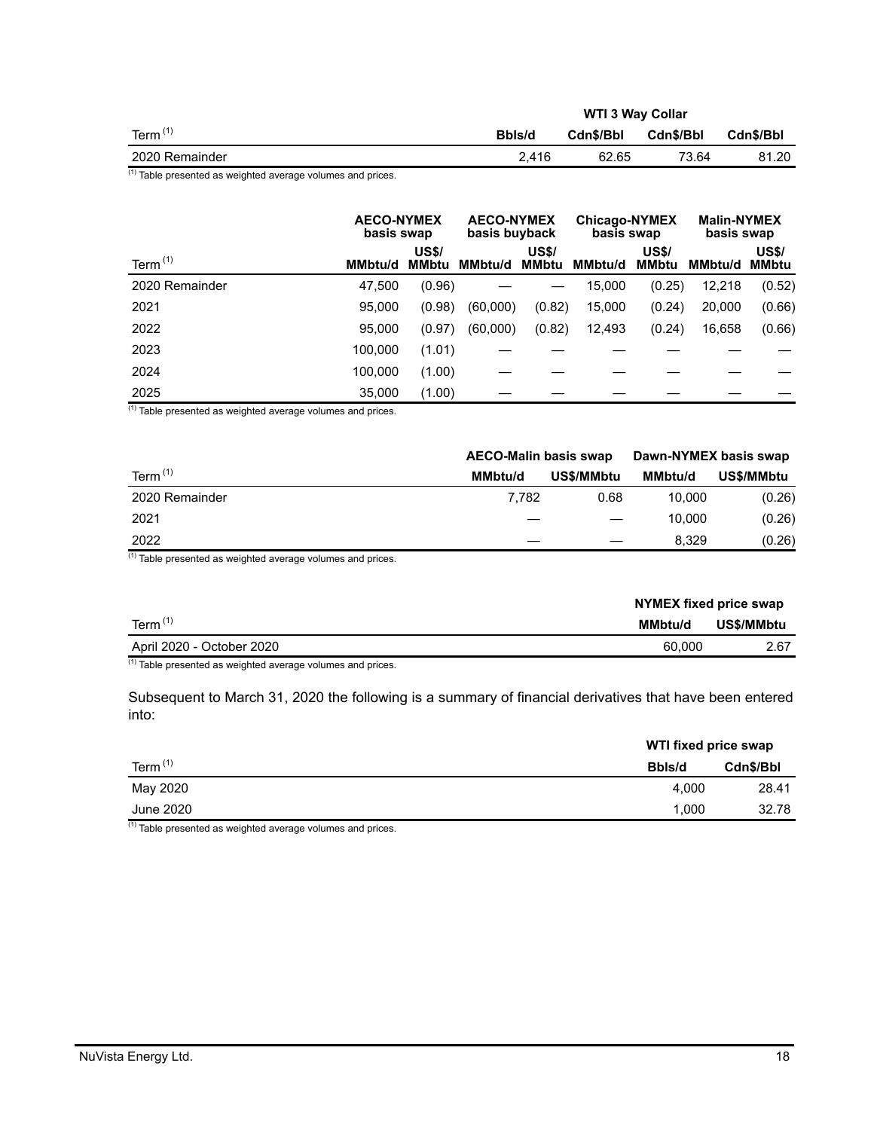|                |        | <b>WTI 3 Way Collar</b> |           |           |
|----------------|--------|-------------------------|-----------|-----------|
| Term $(1)$     | Bbls/d | Cdn\$/Bbl               | Cdn\$/Bbl | Cdn\$/Bbl |
| 2020 Remainder | 2.416  | 62.65                   | 73.64     | 81.20     |
| $\mathbf{z}$   |        |                         |           |           |

 $\frac{(1)}{(1)}$  Table presented as weighted average volumes and prices.

|                | <b>AECO-NYMEX</b><br>basis swap |                              | <b>AECO-NYMEX</b><br>basis buyback |                       | <b>Chicago-NYMEX</b><br>basis swap |                       | <b>Malin-NYMEX</b><br>basis swap |                              |  |
|----------------|---------------------------------|------------------------------|------------------------------------|-----------------------|------------------------------------|-----------------------|----------------------------------|------------------------------|--|
| Term $(1)$     | MMbtu/d                         | <b>US\$/</b><br><b>MMbtu</b> | <b>MMbtu/d</b>                     | <b>US\$/</b><br>MMbtu | <b>MMbtu/d</b>                     | <b>US\$/</b><br>MMbtu | MMbtu/d                          | <b>US\$/</b><br><b>MMbtu</b> |  |
| 2020 Remainder | 47,500                          | (0.96)                       |                                    |                       | 15,000                             | (0.25)                | 12,218                           | (0.52)                       |  |
| 2021           | 95.000                          | (0.98)                       | (60,000)                           | (0.82)                | 15,000                             | (0.24)                | 20,000                           | (0.66)                       |  |
| 2022           | 95,000                          | (0.97)                       | (60,000)                           | (0.82)                | 12,493                             | (0.24)                | 16,658                           | (0.66)                       |  |
| 2023           | 100.000                         | (1.01)                       |                                    |                       |                                    |                       |                                  |                              |  |
| 2024           | 100.000                         | (1.00)                       |                                    |                       |                                    |                       |                                  |                              |  |
| 2025           | 35,000                          | (1.00)                       |                                    |                       |                                    |                       |                                  |                              |  |

 $(1)$  Table presented as weighted average volumes and prices.

|                | <b>AECO-Malin basis swap</b> |            | Dawn-NYMEX basis swap |            |
|----------------|------------------------------|------------|-----------------------|------------|
| Term $(1)$     | MMbtu/d                      | US\$/MMbtu | <b>MMbtu/d</b>        | US\$/MMbtu |
| 2020 Remainder | 7.782                        | 0.68       | 10.000                | (0.26)     |
| 2021           |                              |            | 10.000                | (0.26)     |
| 2022           |                              |            | 8.329                 | (0.26)     |

 $(1)$  Table presented as weighted average volumes and prices.

|                           | NYMEX fixed price swap |            |  |  |  |
|---------------------------|------------------------|------------|--|--|--|
| Term $(1)$                | MMbtu/d                | US\$/MMbtu |  |  |  |
| April 2020 - October 2020 | 60,000                 | 2.67       |  |  |  |

 $(1)$  Table presented as weighted average volumes and prices.

Subsequent to March 31, 2020 the following is a summary of financial derivatives that have been entered into:

|            | WTI fixed price swap |           |
|------------|----------------------|-----------|
| Term $(1)$ | Bbls/d               | Cdn\$/Bbl |
| May 2020   | 4.000                | 28.41     |
| June 2020  | 1.000                | 32.78     |

 $(1)$  Table presented as weighted average volumes and prices.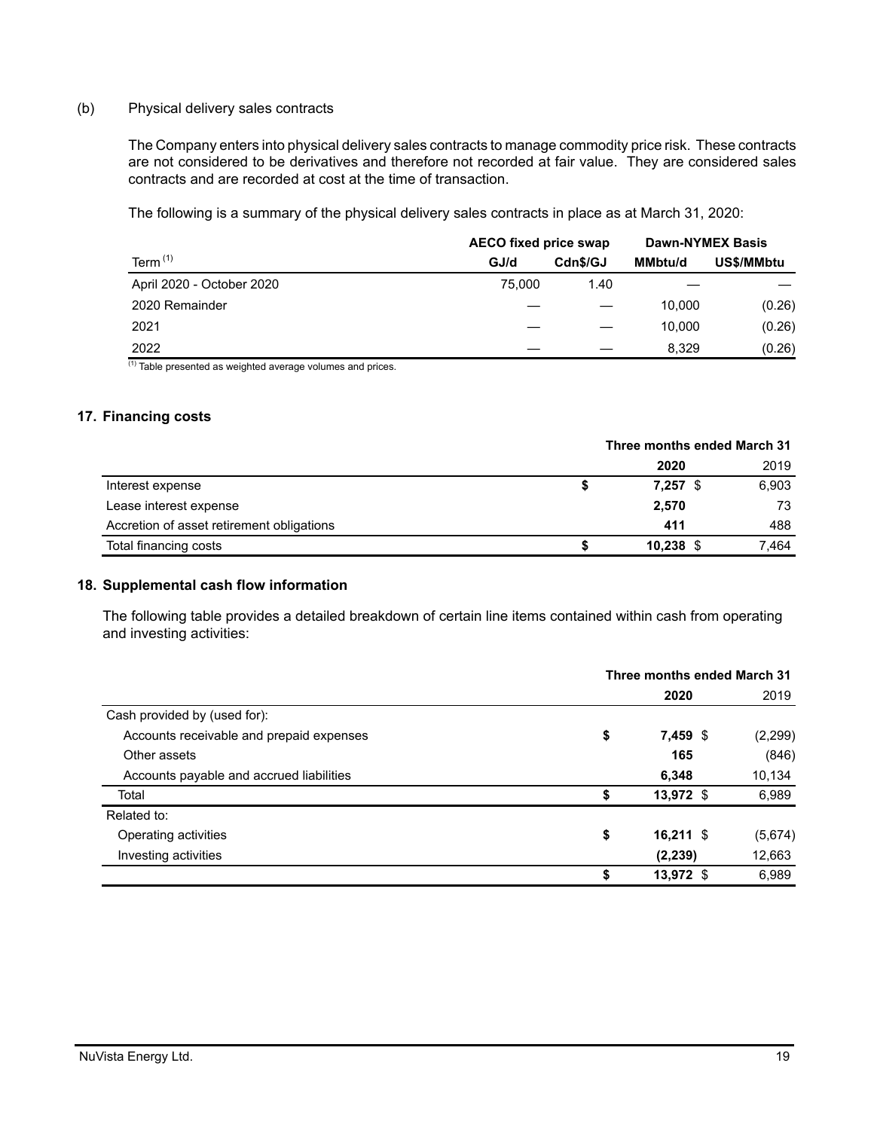#### (b) Physical delivery sales contracts

The Company enters into physical delivery sales contracts to manage commodity price risk. These contracts are not considered to be derivatives and therefore not recorded at fair value. They are considered sales contracts and are recorded at cost at the time of transaction.

The following is a summary of the physical delivery sales contracts in place as at March 31, 2020:

|                           | <b>AECO fixed price swap</b> | <b>Dawn-NYMEX Basis</b> |                |            |
|---------------------------|------------------------------|-------------------------|----------------|------------|
| Term $(1)$                | GJ/d                         | Cdn\$/GJ                | <b>MMbtu/d</b> | US\$/MMbtu |
| April 2020 - October 2020 | 75.000                       | 1.40                    |                |            |
| 2020 Remainder            |                              |                         | 10.000         | (0.26)     |
| 2021                      |                              |                         | 10.000         | (0.26)     |
| 2022<br>743               |                              |                         | 8.329          | (0.26)     |

 $<sup>(1)</sup>$  Table presented as weighted average volumes and prices.</sup>

### **17. Financing costs**

|                                           |   | Three months ended March 31 |  |       |  |
|-------------------------------------------|---|-----------------------------|--|-------|--|
|                                           |   | 2020                        |  | 2019  |  |
| Interest expense                          | ъ | $7,257$ \$                  |  | 6,903 |  |
| Lease interest expense                    |   | 2,570                       |  | 73    |  |
| Accretion of asset retirement obligations |   | 411                         |  | 488   |  |
| Total financing costs                     |   | $10,238$ \$                 |  | 7.464 |  |

#### **18. Supplemental cash flow information**

The following table provides a detailed breakdown of certain line items contained within cash from operating and investing activities:

|                                          | Three months ended March 31 |             |          |  |
|------------------------------------------|-----------------------------|-------------|----------|--|
|                                          |                             | 2020        | 2019     |  |
| Cash provided by (used for):             |                             |             |          |  |
| Accounts receivable and prepaid expenses | \$                          | 7,459 \$    | (2, 299) |  |
| Other assets                             |                             | 165         | (846)    |  |
| Accounts payable and accrued liabilities |                             | 6,348       | 10,134   |  |
| Total                                    | \$                          | 13,972 \$   | 6,989    |  |
| Related to:                              |                             |             |          |  |
| Operating activities                     | \$                          | $16,211$ \$ | (5,674)  |  |
| Investing activities                     |                             | (2, 239)    | 12,663   |  |
|                                          | \$                          | 13,972 \$   | 6,989    |  |